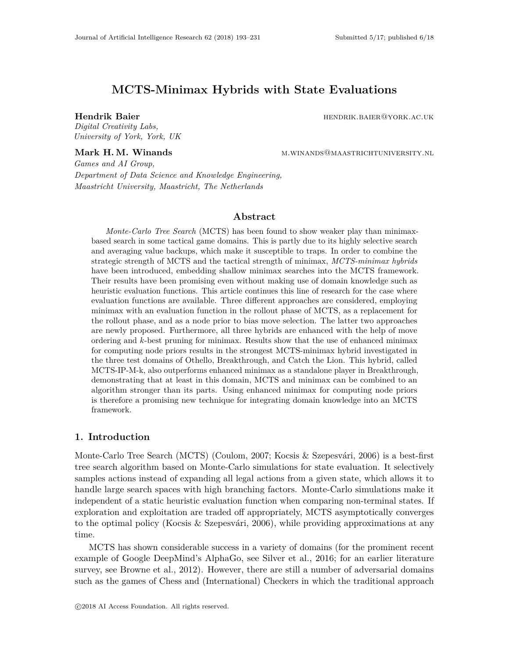# **MCTS-Minimax Hybrids with State Evaluations**

*Digital Creativity Labs, University of York, York, UK*

**Hendrik Baier hendrik Baier hendrik Baier hendrik Baier hendrik hendrik hendrik hendrik hendrik hendrik hendrik hendrik hendrik hendrik hendrik hendrik hendrik hendrik hendrik hendrik** 

**Mark H. M. Winands** M.WINANDS@MAASTRICHTUNIVERSITY.NL

*Games and AI Group, Department of Data Science and Knowledge Engineering, Maastricht University, Maastricht, The Netherlands*

## **Abstract**

*Monte-Carlo Tree Search* (MCTS) has been found to show weaker play than minimaxbased search in some tactical game domains. This is partly due to its highly selective search and averaging value backups, which make it susceptible to traps. In order to combine the strategic strength of MCTS and the tactical strength of minimax, *MCTS-minimax hybrids* have been introduced, embedding shallow minimax searches into the MCTS framework. Their results have been promising even without making use of domain knowledge such as heuristic evaluation functions. This article continues this line of research for the case where evaluation functions are available. Three different approaches are considered, employing minimax with an evaluation function in the rollout phase of MCTS, as a replacement for the rollout phase, and as a node prior to bias move selection. The latter two approaches are newly proposed. Furthermore, all three hybrids are enhanced with the help of move ordering and *k*-best pruning for minimax. Results show that the use of enhanced minimax for computing node priors results in the strongest MCTS-minimax hybrid investigated in the three test domains of Othello, Breakthrough, and Catch the Lion. This hybrid, called MCTS-IP-M-k, also outperforms enhanced minimax as a standalone player in Breakthrough, demonstrating that at least in this domain, MCTS and minimax can be combined to an algorithm stronger than its parts. Using enhanced minimax for computing node priors is therefore a promising new technique for integrating domain knowledge into an MCTS framework.

# **1. Introduction**

Monte-Carlo Tree Search (MCTS) (Coulom, 2007; Kocsis & Szepesvári, 2006) is a best-first tree search algorithm based on Monte-Carlo simulations for state evaluation. It selectively samples actions instead of expanding all legal actions from a given state, which allows it to handle large search spaces with high branching factors. Monte-Carlo simulations make it independent of a static heuristic evaluation function when comparing non-terminal states. If exploration and exploitation are traded off appropriately, MCTS asymptotically converges to the optimal policy (Kocsis & Szepesvári, 2006), while providing approximations at any time.

MCTS has shown considerable success in a variety of domains (for the prominent recent example of Google DeepMind's AlphaGo, see Silver et al., 2016; for an earlier literature survey, see Browne et al., 2012). However, there are still a number of adversarial domains such as the games of Chess and (International) Checkers in which the traditional approach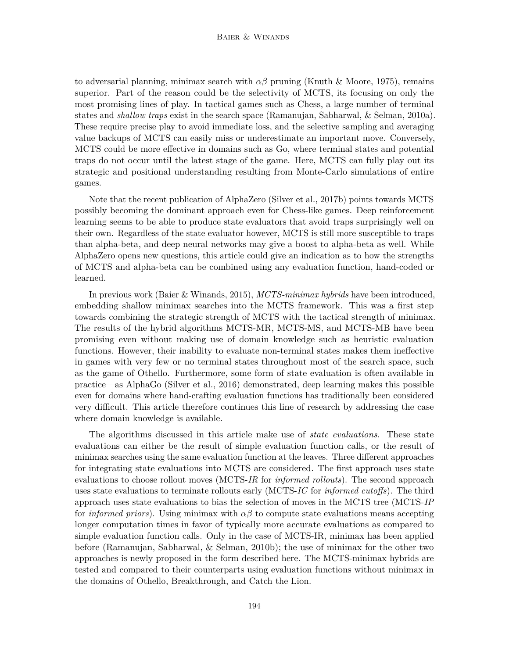to adversarial planning, minimax search with *αβ* pruning (Knuth & Moore, 1975), remains superior. Part of the reason could be the selectivity of MCTS, its focusing on only the most promising lines of play. In tactical games such as Chess, a large number of terminal states and *shallow traps* exist in the search space (Ramanujan, Sabharwal, & Selman, 2010a). These require precise play to avoid immediate loss, and the selective sampling and averaging value backups of MCTS can easily miss or underestimate an important move. Conversely, MCTS could be more effective in domains such as Go, where terminal states and potential traps do not occur until the latest stage of the game. Here, MCTS can fully play out its strategic and positional understanding resulting from Monte-Carlo simulations of entire games.

Note that the recent publication of AlphaZero (Silver et al., 2017b) points towards MCTS possibly becoming the dominant approach even for Chess-like games. Deep reinforcement learning seems to be able to produce state evaluators that avoid traps surprisingly well on their own. Regardless of the state evaluator however, MCTS is still more susceptible to traps than alpha-beta, and deep neural networks may give a boost to alpha-beta as well. While AlphaZero opens new questions, this article could give an indication as to how the strengths of MCTS and alpha-beta can be combined using any evaluation function, hand-coded or learned.

In previous work (Baier & Winands, 2015), *MCTS-minimax hybrids* have been introduced, embedding shallow minimax searches into the MCTS framework. This was a first step towards combining the strategic strength of MCTS with the tactical strength of minimax. The results of the hybrid algorithms MCTS-MR, MCTS-MS, and MCTS-MB have been promising even without making use of domain knowledge such as heuristic evaluation functions. However, their inability to evaluate non-terminal states makes them ineffective in games with very few or no terminal states throughout most of the search space, such as the game of Othello. Furthermore, some form of state evaluation is often available in practice—as AlphaGo (Silver et al., 2016) demonstrated, deep learning makes this possible even for domains where hand-crafting evaluation functions has traditionally been considered very difficult. This article therefore continues this line of research by addressing the case where domain knowledge is available.

The algorithms discussed in this article make use of *state evaluations*. These state evaluations can either be the result of simple evaluation function calls, or the result of minimax searches using the same evaluation function at the leaves. Three different approaches for integrating state evaluations into MCTS are considered. The first approach uses state evaluations to choose rollout moves (MCTS-*IR* for *informed rollouts*). The second approach uses state evaluations to terminate rollouts early (MCTS-*IC* for *informed cutoffs*). The third approach uses state evaluations to bias the selection of moves in the MCTS tree (MCTS-*IP* for *informed priors*). Using minimax with  $\alpha\beta$  to compute state evaluations means accepting longer computation times in favor of typically more accurate evaluations as compared to simple evaluation function calls. Only in the case of MCTS-IR, minimax has been applied before (Ramanujan, Sabharwal, & Selman, 2010b); the use of minimax for the other two approaches is newly proposed in the form described here. The MCTS-minimax hybrids are tested and compared to their counterparts using evaluation functions without minimax in the domains of Othello, Breakthrough, and Catch the Lion.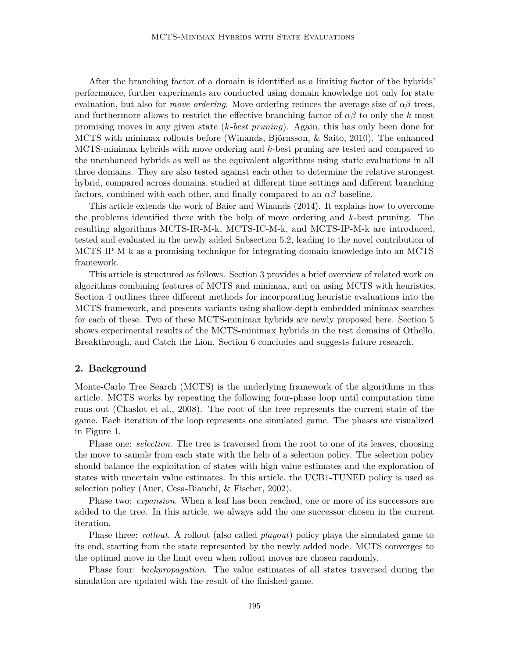After the branching factor of a domain is identified as a limiting factor of the hybrids' performance, further experiments are conducted using domain knowledge not only for state evaluation, but also for *move ordering*. Move ordering reduces the average size of  $\alpha\beta$  trees. and furthermore allows to restrict the effective branching factor of  $\alpha\beta$  to only the k most promising moves in any given state (*k-best pruning*). Again, this has only been done for MCTS with minimax rollouts before (Winands, Björnsson, & Saito, 2010). The enhanced MCTS-minimax hybrids with move ordering and *k*-best pruning are tested and compared to the unenhanced hybrids as well as the equivalent algorithms using static evaluations in all three domains. They are also tested against each other to determine the relative strongest hybrid, compared across domains, studied at different time settings and different branching factors, combined with each other, and finally compared to an  $\alpha\beta$  baseline.

This article extends the work of Baier and Winands (2014). It explains how to overcome the problems identified there with the help of move ordering and *k*-best pruning. The resulting algorithms MCTS-IR-M-k, MCTS-IC-M-k, and MCTS-IP-M-k are introduced, tested and evaluated in the newly added Subsection 5.2, leading to the novel contribution of MCTS-IP-M-k as a promising technique for integrating domain knowledge into an MCTS framework.

This article is structured as follows. Section 3 provides a brief overview of related work on algorithms combining features of MCTS and minimax, and on using MCTS with heuristics. Section 4 outlines three different methods for incorporating heuristic evaluations into the MCTS framework, and presents variants using shallow-depth embedded minimax searches for each of these. Two of these MCTS-minimax hybrids are newly proposed here. Section 5 shows experimental results of the MCTS-minimax hybrids in the test domains of Othello, Breakthrough, and Catch the Lion. Section 6 concludes and suggests future research.

## **2. Background**

Monte-Carlo Tree Search (MCTS) is the underlying framework of the algorithms in this article. MCTS works by repeating the following four-phase loop until computation time runs out (Chaslot et al., 2008). The root of the tree represents the current state of the game. Each iteration of the loop represents one simulated game. The phases are visualized in Figure 1.

Phase one: *selection*. The tree is traversed from the root to one of its leaves, choosing the move to sample from each state with the help of a selection policy. The selection policy should balance the exploitation of states with high value estimates and the exploration of states with uncertain value estimates. In this article, the UCB1-TUNED policy is used as selection policy (Auer, Cesa-Bianchi, & Fischer, 2002).

Phase two: *expansion*. When a leaf has been reached, one or more of its successors are added to the tree. In this article, we always add the one successor chosen in the current iteration.

Phase three: *rollout*. A rollout (also called *playout*) policy plays the simulated game to its end, starting from the state represented by the newly added node. MCTS converges to the optimal move in the limit even when rollout moves are chosen randomly.

Phase four: *backpropagation*. The value estimates of all states traversed during the simulation are updated with the result of the finished game.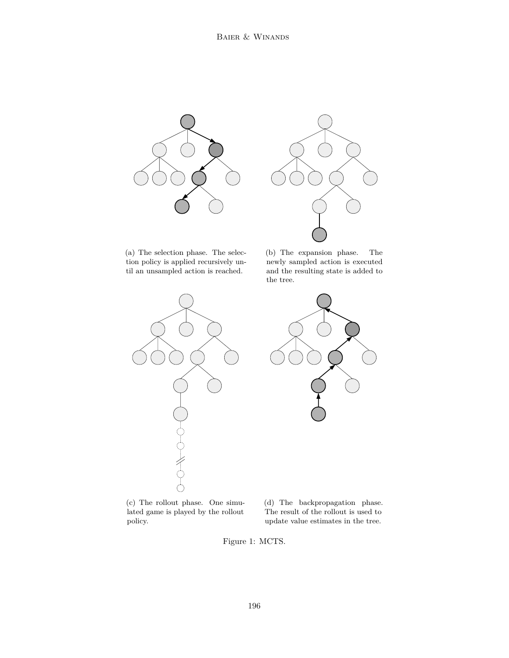



(a) The selection phase. The selection policy is applied recursively until an unsampled action is reached.

(b) The expansion phase. The newly sampled action is executed and the resulting state is added to the tree.



(c) The rollout phase. One simulated game is played by the rollout policy.

(d) The backpropagation phase. The result of the rollout is used to update value estimates in the tree.

Figure 1: MCTS.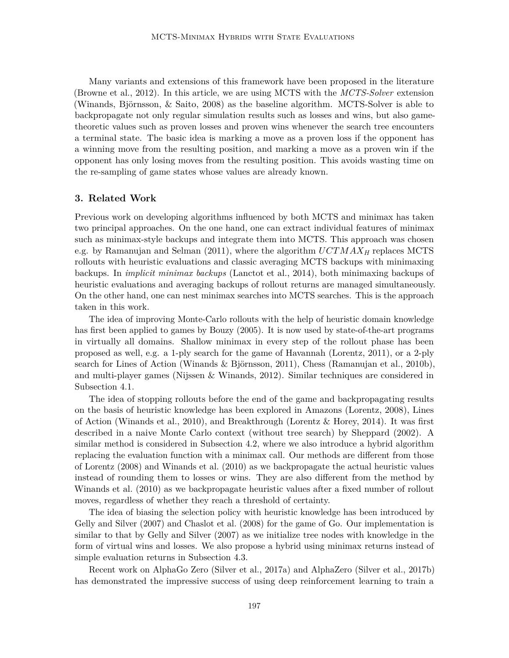Many variants and extensions of this framework have been proposed in the literature (Browne et al., 2012). In this article, we are using MCTS with the *MCTS-Solver* extension (Winands, Björnsson, & Saito, 2008) as the baseline algorithm. MCTS-Solver is able to backpropagate not only regular simulation results such as losses and wins, but also gametheoretic values such as proven losses and proven wins whenever the search tree encounters a terminal state. The basic idea is marking a move as a proven loss if the opponent has a winning move from the resulting position, and marking a move as a proven win if the opponent has only losing moves from the resulting position. This avoids wasting time on the re-sampling of game states whose values are already known.

## **3. Related Work**

Previous work on developing algorithms influenced by both MCTS and minimax has taken two principal approaches. On the one hand, one can extract individual features of minimax such as minimax-style backups and integrate them into MCTS. This approach was chosen e.g. by Ramanujan and Selman (2011), where the algorithm *UCTMAX<sup>H</sup>* replaces MCTS rollouts with heuristic evaluations and classic averaging MCTS backups with minimaxing backups. In *implicit minimax backups* (Lanctot et al., 2014), both minimaxing backups of heuristic evaluations and averaging backups of rollout returns are managed simultaneously. On the other hand, one can nest minimax searches into MCTS searches. This is the approach taken in this work.

The idea of improving Monte-Carlo rollouts with the help of heuristic domain knowledge has first been applied to games by Bouzy (2005). It is now used by state-of-the-art programs in virtually all domains. Shallow minimax in every step of the rollout phase has been proposed as well, e.g. a 1-ply search for the game of Havannah (Lorentz, 2011), or a 2-ply search for Lines of Action (Winands & Björnsson, 2011), Chess (Ramanujan et al., 2010b), and multi-player games (Nijssen & Winands, 2012). Similar techniques are considered in Subsection 4.1.

The idea of stopping rollouts before the end of the game and backpropagating results on the basis of heuristic knowledge has been explored in Amazons (Lorentz, 2008), Lines of Action (Winands et al., 2010), and Breakthrough (Lorentz & Horey, 2014). It was first described in a naive Monte Carlo context (without tree search) by Sheppard (2002). A similar method is considered in Subsection 4.2, where we also introduce a hybrid algorithm replacing the evaluation function with a minimax call. Our methods are different from those of Lorentz (2008) and Winands et al. (2010) as we backpropagate the actual heuristic values instead of rounding them to losses or wins. They are also different from the method by Winands et al. (2010) as we backpropagate heuristic values after a fixed number of rollout moves, regardless of whether they reach a threshold of certainty.

The idea of biasing the selection policy with heuristic knowledge has been introduced by Gelly and Silver (2007) and Chaslot et al. (2008) for the game of Go. Our implementation is similar to that by Gelly and Silver (2007) as we initialize tree nodes with knowledge in the form of virtual wins and losses. We also propose a hybrid using minimax returns instead of simple evaluation returns in Subsection 4.3.

Recent work on AlphaGo Zero (Silver et al., 2017a) and AlphaZero (Silver et al., 2017b) has demonstrated the impressive success of using deep reinforcement learning to train a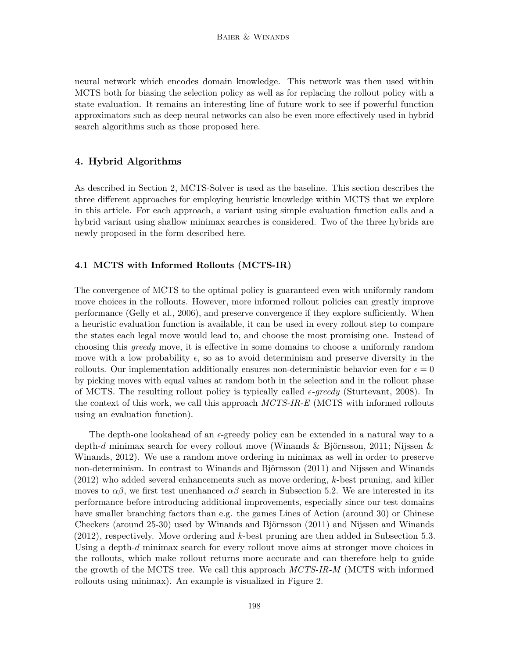neural network which encodes domain knowledge. This network was then used within MCTS both for biasing the selection policy as well as for replacing the rollout policy with a state evaluation. It remains an interesting line of future work to see if powerful function approximators such as deep neural networks can also be even more effectively used in hybrid search algorithms such as those proposed here.

## **4. Hybrid Algorithms**

As described in Section 2, MCTS-Solver is used as the baseline. This section describes the three different approaches for employing heuristic knowledge within MCTS that we explore in this article. For each approach, a variant using simple evaluation function calls and a hybrid variant using shallow minimax searches is considered. Two of the three hybrids are newly proposed in the form described here.

# **4.1 MCTS with Informed Rollouts (MCTS-IR)**

The convergence of MCTS to the optimal policy is guaranteed even with uniformly random move choices in the rollouts. However, more informed rollout policies can greatly improve performance (Gelly et al., 2006), and preserve convergence if they explore sufficiently. When a heuristic evaluation function is available, it can be used in every rollout step to compare the states each legal move would lead to, and choose the most promising one. Instead of choosing this *greedy* move, it is effective in some domains to choose a uniformly random move with a low probability  $\epsilon$ , so as to avoid determinism and preserve diversity in the rollouts. Our implementation additionally ensures non-deterministic behavior even for  $\epsilon = 0$ by picking moves with equal values at random both in the selection and in the rollout phase of MCTS. The resulting rollout policy is typically called  $\epsilon$ -greedy (Sturtevant, 2008). In the context of this work, we call this approach *MCTS-IR-E* (MCTS with informed rollouts using an evaluation function).

The depth-one lookahead of an  $\epsilon$ -greedy policy can be extended in a natural way to a depth-*d* minimax search for every rollout move (Winands & Björnsson, 2011; Nijssen & Winands, 2012). We use a random move ordering in minimax as well in order to preserve non-determinism. In contrast to Winands and Björnsson (2011) and Nijssen and Winands (2012) who added several enhancements such as move ordering, *k*-best pruning, and killer moves to  $\alpha\beta$ , we first test unenhanced  $\alpha\beta$  search in Subsection 5.2. We are interested in its performance before introducing additional improvements, especially since our test domains have smaller branching factors than e.g. the games Lines of Action (around 30) or Chinese Checkers (around 25-30) used by Winands and Björnsson (2011) and Nijssen and Winands (2012), respectively. Move ordering and *k*-best pruning are then added in Subsection 5.3. Using a depth-*d* minimax search for every rollout move aims at stronger move choices in the rollouts, which make rollout returns more accurate and can therefore help to guide the growth of the MCTS tree. We call this approach *MCTS-IR-M* (MCTS with informed rollouts using minimax). An example is visualized in Figure 2.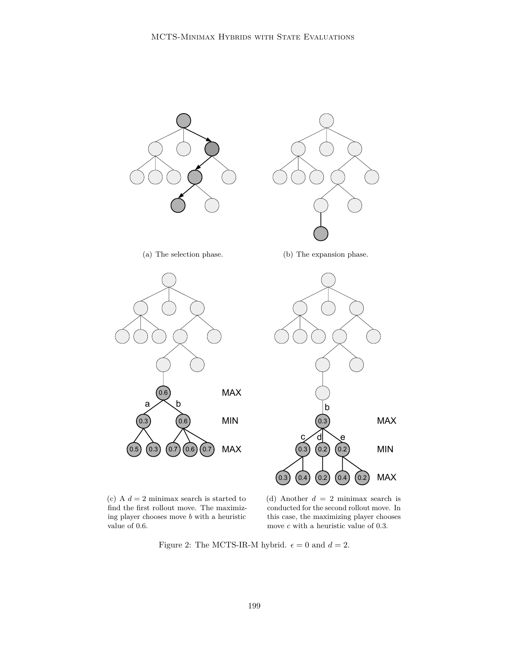

(c) A  $d = 2$  minimax search is started to find the first rollout move. The maximizing player chooses move *b* with a heuristic value of 0.6.

(d) Another *d* = 2 minimax search is conducted for the second rollout move. In this case, the maximizing player chooses move *c* with a heuristic value of 0.3.

Figure 2: The MCTS-IR-M hybrid.  $\epsilon = 0$  and  $d = 2$ .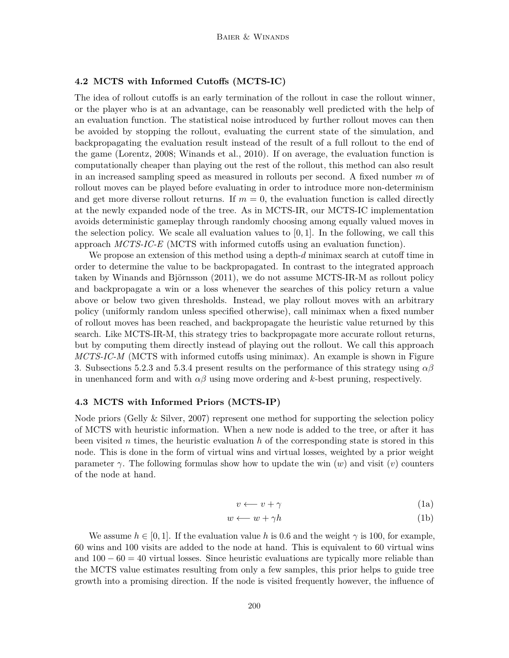# **4.2 MCTS with Informed Cutoffs (MCTS-IC)**

The idea of rollout cutoffs is an early termination of the rollout in case the rollout winner, or the player who is at an advantage, can be reasonably well predicted with the help of an evaluation function. The statistical noise introduced by further rollout moves can then be avoided by stopping the rollout, evaluating the current state of the simulation, and backpropagating the evaluation result instead of the result of a full rollout to the end of the game (Lorentz, 2008; Winands et al., 2010). If on average, the evaluation function is computationally cheaper than playing out the rest of the rollout, this method can also result in an increased sampling speed as measured in rollouts per second. A fixed number *m* of rollout moves can be played before evaluating in order to introduce more non-determinism and get more diverse rollout returns. If  $m = 0$ , the evaluation function is called directly at the newly expanded node of the tree. As in MCTS-IR, our MCTS-IC implementation avoids deterministic gameplay through randomly choosing among equally valued moves in the selection policy. We scale all evaluation values to [0*,* 1]. In the following, we call this approach *MCTS-IC-E* (MCTS with informed cutoffs using an evaluation function).

We propose an extension of this method using a depth-*d* minimax search at cutoff time in order to determine the value to be backpropagated. In contrast to the integrated approach taken by Winands and Björnsson (2011), we do not assume MCTS-IR-M as rollout policy and backpropagate a win or a loss whenever the searches of this policy return a value above or below two given thresholds. Instead, we play rollout moves with an arbitrary policy (uniformly random unless specified otherwise), call minimax when a fixed number of rollout moves has been reached, and backpropagate the heuristic value returned by this search. Like MCTS-IR-M, this strategy tries to backpropagate more accurate rollout returns, but by computing them directly instead of playing out the rollout. We call this approach *MCTS-IC-M* (MCTS with informed cutoffs using minimax). An example is shown in Figure 3. Subsections 5.2.3 and 5.3.4 present results on the performance of this strategy using *αβ* in unenhanced form and with  $\alpha\beta$  using move ordering and *k*-best pruning, respectively.

# **4.3 MCTS with Informed Priors (MCTS-IP)**

Node priors (Gelly & Silver, 2007) represent one method for supporting the selection policy of MCTS with heuristic information. When a new node is added to the tree, or after it has been visited *n* times, the heuristic evaluation *h* of the corresponding state is stored in this node. This is done in the form of virtual wins and virtual losses, weighted by a prior weight parameter  $\gamma$ . The following formulas show how to update the win  $(w)$  and visit  $(v)$  counters of the node at hand.

$$
v \longleftarrow v + \gamma \tag{1a}
$$

$$
w \longleftarrow w + \gamma h \tag{1b}
$$

We assume  $h \in [0, 1]$ . If the evaluation value h is 0.6 and the weight  $\gamma$  is 100, for example, 60 wins and 100 visits are added to the node at hand. This is equivalent to 60 virtual wins and  $100 - 60 = 40$  virtual losses. Since heuristic evaluations are typically more reliable than the MCTS value estimates resulting from only a few samples, this prior helps to guide tree growth into a promising direction. If the node is visited frequently however, the influence of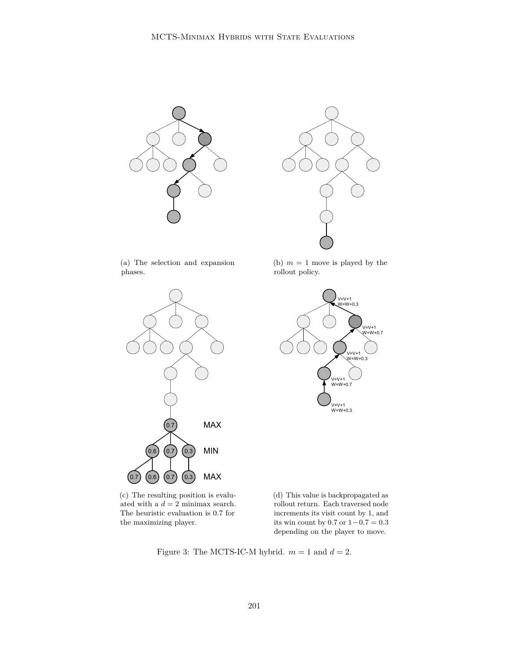



(a) The selection and expansion phases.



(b)  $m = 1$  move is played by the rollout policy.



(c) The resulting position is evaluated with a  $d = 2$  minimax search. The heuristic evaluation is 0.7 for the maximizing player.

(d) This value is backpropagated as rollout return. Each traversed node increments its visit count by 1, and its win count by 0.7 or 1−0*.*7 = 0*.*3 depending on the player to move.

Figure 3: The MCTS-IC-M hybrid.  $m = 1$  and  $d = 2$ .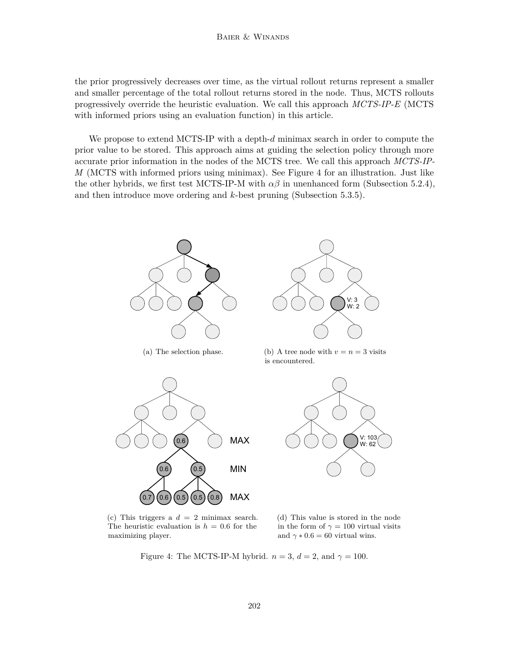the prior progressively decreases over time, as the virtual rollout returns represent a smaller and smaller percentage of the total rollout returns stored in the node. Thus, MCTS rollouts progressively override the heuristic evaluation. We call this approach *MCTS-IP-E* (MCTS with informed priors using an evaluation function) in this article.

We propose to extend MCTS-IP with a depth-*d* minimax search in order to compute the prior value to be stored. This approach aims at guiding the selection policy through more accurate prior information in the nodes of the MCTS tree. We call this approach *MCTS-IP-M* (MCTS with informed priors using minimax). See Figure 4 for an illustration. Just like the other hybrids, we first test MCTS-IP-M with  $\alpha\beta$  in unenhanced form (Subsection 5.2.4), and then introduce move ordering and *k*-best pruning (Subsection 5.3.5).





(b) A tree node with  $v = n = 3$  visits is encountered.



(c) This triggers a  $d = 2$  minimax search. The heuristic evaluation is  $h = 0.6$  for the maximizing player.

 $(0.6)(0.5)(0.5)(0.8)$ 

(d) This value is stored in the node in the form of  $\gamma = 100$  virtual visits and  $\gamma * 0.6 = 60$  virtual wins.

Figure 4: The MCTS-IP-M hybrid.  $n = 3$ ,  $d = 2$ , and  $\gamma = 100$ .

MAX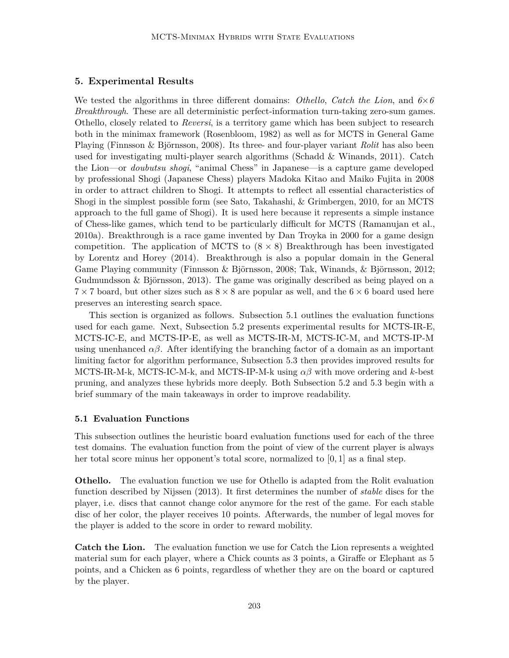## **5. Experimental Results**

We tested the algorithms in three different domains: *Othello*, *Catch the Lion*, and *6*×*6 Breakthrough*. These are all deterministic perfect-information turn-taking zero-sum games. Othello, closely related to *Reversi*, is a territory game which has been subject to research both in the minimax framework (Rosenbloom, 1982) as well as for MCTS in General Game Playing (Finnsson & Björnsson, 2008). Its three- and four-player variant *Rolit* has also been used for investigating multi-player search algorithms (Schadd & Winands, 2011). Catch the Lion—or *doubutsu shogi*, "animal Chess" in Japanese—is a capture game developed by professional Shogi (Japanese Chess) players Madoka Kitao and Maiko Fujita in 2008 in order to attract children to Shogi. It attempts to reflect all essential characteristics of Shogi in the simplest possible form (see Sato, Takahashi, & Grimbergen, 2010, for an MCTS approach to the full game of Shogi). It is used here because it represents a simple instance of Chess-like games, which tend to be particularly difficult for MCTS (Ramanujan et al., 2010a). Breakthrough is a race game invented by Dan Troyka in 2000 for a game design competition. The application of MCTS to  $(8 \times 8)$  Breakthrough has been investigated by Lorentz and Horey (2014). Breakthrough is also a popular domain in the General Game Playing community (Finnsson & Björnsson, 2008; Tak, Winands, & Björnsson, 2012; Gudmundsson & Björnsson, 2013). The game was originally described as being played on a  $7 \times 7$  board, but other sizes such as  $8 \times 8$  are popular as well, and the  $6 \times 6$  board used here preserves an interesting search space.

This section is organized as follows. Subsection 5.1 outlines the evaluation functions used for each game. Next, Subsection 5.2 presents experimental results for MCTS-IR-E, MCTS-IC-E, and MCTS-IP-E, as well as MCTS-IR-M, MCTS-IC-M, and MCTS-IP-M using unenhanced  $\alpha\beta$ . After identifying the branching factor of a domain as an important limiting factor for algorithm performance, Subsection 5.3 then provides improved results for MCTS-IR-M-k, MCTS-IC-M-k, and MCTS-IP-M-k using *αβ* with move ordering and *k*-best pruning, and analyzes these hybrids more deeply. Both Subsection 5.2 and 5.3 begin with a brief summary of the main takeaways in order to improve readability.

## **5.1 Evaluation Functions**

This subsection outlines the heuristic board evaluation functions used for each of the three test domains. The evaluation function from the point of view of the current player is always her total score minus her opponent's total score, normalized to [0*,* 1] as a final step.

**Othello.** The evaluation function we use for Othello is adapted from the Rolit evaluation function described by Nijssen (2013). It first determines the number of *stable* discs for the player, i.e. discs that cannot change color anymore for the rest of the game. For each stable disc of her color, the player receives 10 points. Afterwards, the number of legal moves for the player is added to the score in order to reward mobility.

**Catch the Lion.** The evaluation function we use for Catch the Lion represents a weighted material sum for each player, where a Chick counts as 3 points, a Giraffe or Elephant as 5 points, and a Chicken as 6 points, regardless of whether they are on the board or captured by the player.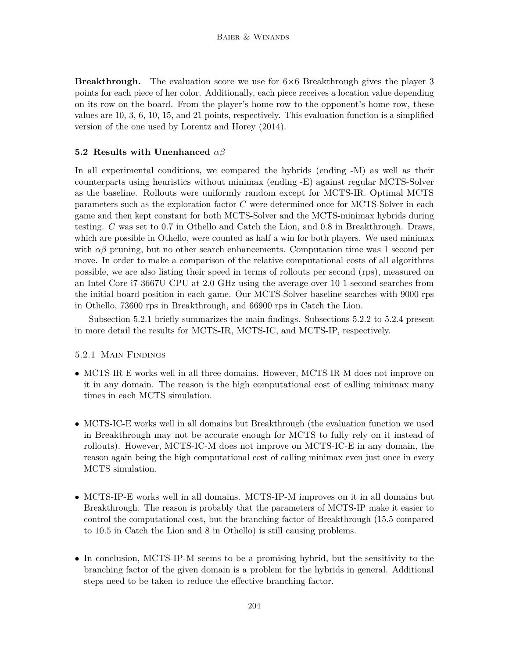**Breakthrough.** The evaluation score we use for  $6\times6$  Breakthrough gives the player 3 points for each piece of her color. Additionally, each piece receives a location value depending on its row on the board. From the player's home row to the opponent's home row, these values are 10, 3, 6, 10, 15, and 21 points, respectively. This evaluation function is a simplified version of the one used by Lorentz and Horey (2014).

## **5.2 Results with Unenhanced** *αβ*

In all experimental conditions, we compared the hybrids (ending -M) as well as their counterparts using heuristics without minimax (ending -E) against regular MCTS-Solver as the baseline. Rollouts were uniformly random except for MCTS-IR. Optimal MCTS parameters such as the exploration factor *C* were determined once for MCTS-Solver in each game and then kept constant for both MCTS-Solver and the MCTS-minimax hybrids during testing. *C* was set to 0.7 in Othello and Catch the Lion, and 0.8 in Breakthrough. Draws, which are possible in Othello, were counted as half a win for both players. We used minimax with  $\alpha\beta$  pruning, but no other search enhancements. Computation time was 1 second per move. In order to make a comparison of the relative computational costs of all algorithms possible, we are also listing their speed in terms of rollouts per second (rps), measured on an Intel Core i7-3667U CPU at 2.0 GHz using the average over 10 1-second searches from the initial board position in each game. Our MCTS-Solver baseline searches with 9000 rps in Othello, 73600 rps in Breakthrough, and 66900 rps in Catch the Lion.

Subsection 5.2.1 briefly summarizes the main findings. Subsections 5.2.2 to 5.2.4 present in more detail the results for MCTS-IR, MCTS-IC, and MCTS-IP, respectively.

## 5.2.1 Main Findings

- MCTS-IR-E works well in all three domains. However, MCTS-IR-M does not improve on it in any domain. The reason is the high computational cost of calling minimax many times in each MCTS simulation.
- MCTS-IC-E works well in all domains but Breakthrough (the evaluation function we used in Breakthrough may not be accurate enough for MCTS to fully rely on it instead of rollouts). However, MCTS-IC-M does not improve on MCTS-IC-E in any domain, the reason again being the high computational cost of calling minimax even just once in every MCTS simulation.
- MCTS-IP-E works well in all domains. MCTS-IP-M improves on it in all domains but Breakthrough. The reason is probably that the parameters of MCTS-IP make it easier to control the computational cost, but the branching factor of Breakthrough (15.5 compared to 10.5 in Catch the Lion and 8 in Othello) is still causing problems.
- In conclusion, MCTS-IP-M seems to be a promising hybrid, but the sensitivity to the branching factor of the given domain is a problem for the hybrids in general. Additional steps need to be taken to reduce the effective branching factor.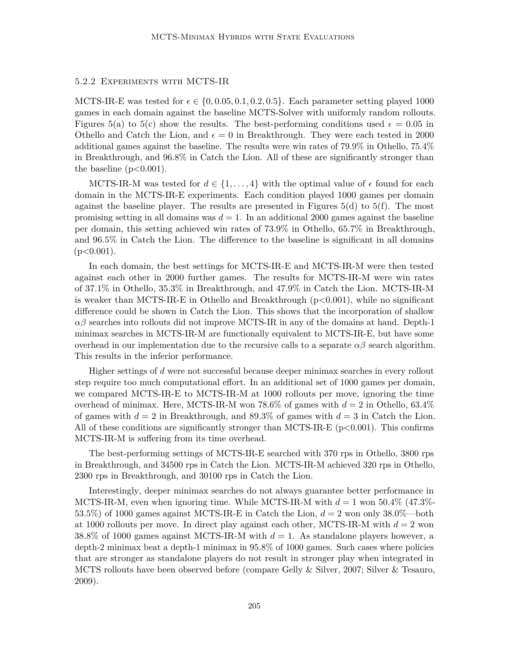## 5.2.2 Experiments with MCTS-IR

MCTS-IR-E was tested for  $\epsilon \in \{0, 0.05, 0.1, 0.2, 0.5\}$ . Each parameter setting played 1000 games in each domain against the baseline MCTS-Solver with uniformly random rollouts. Figures 5(a) to 5(c) show the results. The best-performing conditions used  $\epsilon = 0.05$  in Othello and Catch the Lion, and  $\epsilon = 0$  in Breakthrough. They were each tested in 2000 additional games against the baseline. The results were win rates of 79*.*9% in Othello, 75*.*4% in Breakthrough, and 96*.*8% in Catch the Lion. All of these are significantly stronger than the baseline (p*<*0.001).

MCTS-IR-M was tested for  $d \in \{1, \ldots, 4\}$  with the optimal value of  $\epsilon$  found for each domain in the MCTS-IR-E experiments. Each condition played 1000 games per domain against the baseline player. The results are presented in Figures  $5(d)$  to  $5(f)$ . The most promising setting in all domains was  $d = 1$ . In an additional 2000 games against the baseline per domain, this setting achieved win rates of 73*.*9% in Othello, 65*.*7% in Breakthrough, and 96*.*5% in Catch the Lion. The difference to the baseline is significant in all domains (p*<*0.001).

In each domain, the best settings for MCTS-IR-E and MCTS-IR-M were then tested against each other in 2000 further games. The results for MCTS-IR-M were win rates of 37*.*1% in Othello, 35*.*3% in Breakthrough, and 47*.*9% in Catch the Lion. MCTS-IR-M is weaker than MCTS-IR-E in Othello and Breakthrough (p*<*0.001), while no significant difference could be shown in Catch the Lion. This shows that the incorporation of shallow  $\alpha\beta$  searches into rollouts did not improve MCTS-IR in any of the domains at hand. Depth-1 minimax searches in MCTS-IR-M are functionally equivalent to MCTS-IR-E, but have some overhead in our implementation due to the recursive calls to a separate  $\alpha\beta$  search algorithm. This results in the inferior performance.

Higher settings of *d* were not successful because deeper minimax searches in every rollout step require too much computational effort. In an additional set of 1000 games per domain, we compared MCTS-IR-E to MCTS-IR-M at 1000 rollouts per move, ignoring the time overhead of minimax. Here, MCTS-IR-M won 78*.*6% of games with *d* = 2 in Othello, 63*.*4% of games with  $d = 2$  in Breakthrough, and 89.3% of games with  $d = 3$  in Catch the Lion. All of these conditions are significantly stronger than MCTS-IR-E (p*<*0.001). This confirms MCTS-IR-M is suffering from its time overhead.

The best-performing settings of MCTS-IR-E searched with 370 rps in Othello, 3800 rps in Breakthrough, and 34500 rps in Catch the Lion. MCTS-IR-M achieved 320 rps in Othello, 2300 rps in Breakthrough, and 30100 rps in Catch the Lion.

Interestingly, deeper minimax searches do not always guarantee better performance in MCTS-IR-M, even when ignoring time. While MCTS-IR-M with  $d = 1$  won 50.4% (47.3%-53.5%) of 1000 games against MCTS-IR-E in Catch the Lion,  $d = 2$  won only 38.0%—both at 1000 rollouts per move. In direct play against each other, MCTS-IR-M with  $d = 2$  won  $38.8\%$  of 1000 games against MCTS-IR-M with  $d = 1$ . As standalone players however, a depth-2 minimax beat a depth-1 minimax in 95*.*8% of 1000 games. Such cases where policies that are stronger as standalone players do not result in stronger play when integrated in MCTS rollouts have been observed before (compare Gelly & Silver, 2007; Silver & Tesauro, 2009).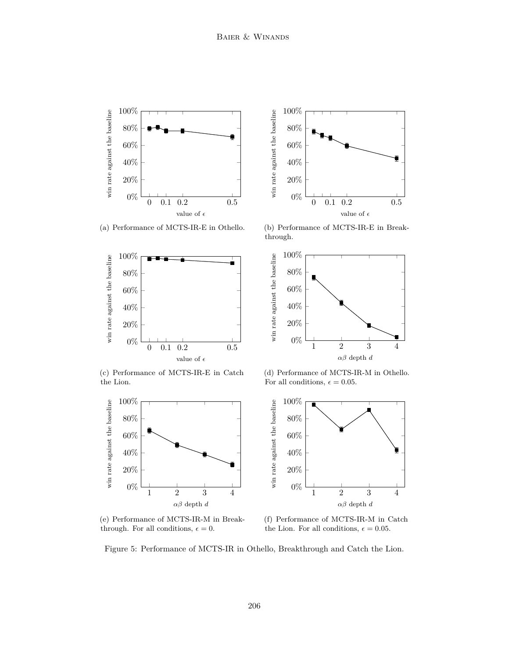

(a) Performance of MCTS-IR-E in Othello.





(b) Performance of MCTS-IR-E in Breakthrough.



(c) Performance of MCTS-IR-E in Catch the Lion.



(e) Performance of MCTS-IR-M in Breakthrough. For all conditions,  $\epsilon = 0$ .

(d) Performance of MCTS-IR-M in Othello. For all conditions,  $\epsilon = 0.05$ .



(f) Performance of MCTS-IR-M in Catch the Lion. For all conditions,  $\epsilon = 0.05$ .

Figure 5: Performance of MCTS-IR in Othello, Breakthrough and Catch the Lion.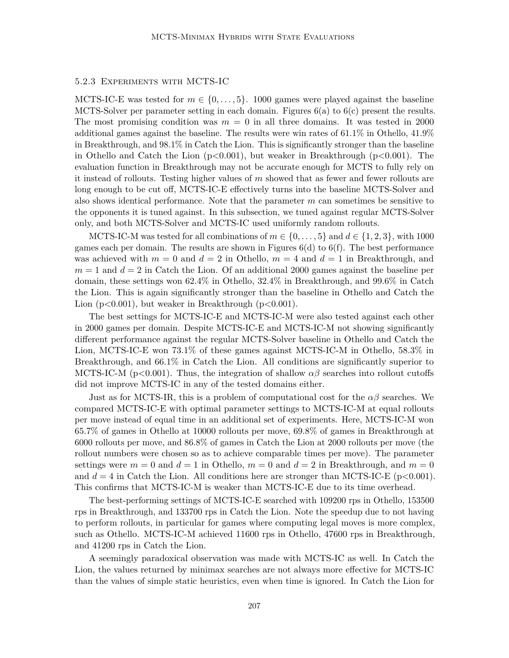## 5.2.3 Experiments with MCTS-IC

MCTS-IC-E was tested for  $m \in \{0, \ldots, 5\}$ . 1000 games were played against the baseline MCTS-Solver per parameter setting in each domain. Figures 6(a) to 6(c) present the results. The most promising condition was  $m = 0$  in all three domains. It was tested in 2000 additional games against the baseline. The results were win rates of 61*.*1% in Othello, 41*.*9% in Breakthrough, and 98*.*1% in Catch the Lion. This is significantly stronger than the baseline in Othello and Catch the Lion (p*<*0.001), but weaker in Breakthrough (p*<*0.001). The evaluation function in Breakthrough may not be accurate enough for MCTS to fully rely on it instead of rollouts. Testing higher values of *m* showed that as fewer and fewer rollouts are long enough to be cut off, MCTS-IC-E effectively turns into the baseline MCTS-Solver and also shows identical performance. Note that the parameter *m* can sometimes be sensitive to the opponents it is tuned against. In this subsection, we tuned against regular MCTS-Solver only, and both MCTS-Solver and MCTS-IC used uniformly random rollouts.

MCTS-IC-M was tested for all combinations of  $m \in \{0, \ldots, 5\}$  and  $d \in \{1, 2, 3\}$ , with 1000 games each per domain. The results are shown in Figures  $6(d)$  to  $6(f)$ . The best performance was achieved with  $m = 0$  and  $d = 2$  in Othello,  $m = 4$  and  $d = 1$  in Breakthrough, and  $m = 1$  and  $d = 2$  in Catch the Lion. Of an additional 2000 games against the baseline per domain, these settings won 62*.*4% in Othello, 32*.*4% in Breakthrough, and 99*.*6% in Catch the Lion. This is again significantly stronger than the baseline in Othello and Catch the Lion (p*<*0.001), but weaker in Breakthrough (p*<*0.001).

The best settings for MCTS-IC-E and MCTS-IC-M were also tested against each other in 2000 games per domain. Despite MCTS-IC-E and MCTS-IC-M not showing significantly different performance against the regular MCTS-Solver baseline in Othello and Catch the Lion, MCTS-IC-E won 73*.*1% of these games against MCTS-IC-M in Othello, 58*.*3% in Breakthrough, and 66*.*1% in Catch the Lion. All conditions are significantly superior to MCTS-IC-M ( $p<0.001$ ). Thus, the integration of shallow  $\alpha\beta$  searches into rollout cutoffs did not improve MCTS-IC in any of the tested domains either.

Just as for MCTS-IR, this is a problem of computational cost for the  $\alpha\beta$  searches. We compared MCTS-IC-E with optimal parameter settings to MCTS-IC-M at equal rollouts per move instead of equal time in an additional set of experiments. Here, MCTS-IC-M won 65*.*7% of games in Othello at 10000 rollouts per move, 69*.*8% of games in Breakthrough at 6000 rollouts per move, and 86*.*8% of games in Catch the Lion at 2000 rollouts per move (the rollout numbers were chosen so as to achieve comparable times per move). The parameter settings were  $m = 0$  and  $d = 1$  in Othello,  $m = 0$  and  $d = 2$  in Breakthrough, and  $m = 0$ and  $d = 4$  in Catch the Lion. All conditions here are stronger than MCTS-IC-E ( $p < 0.001$ ). This confirms that MCTS-IC-M is weaker than MCTS-IC-E due to its time overhead.

The best-performing settings of MCTS-IC-E searched with 109200 rps in Othello, 153500 rps in Breakthrough, and 133700 rps in Catch the Lion. Note the speedup due to not having to perform rollouts, in particular for games where computing legal moves is more complex, such as Othello. MCTS-IC-M achieved 11600 rps in Othello, 47600 rps in Breakthrough, and 41200 rps in Catch the Lion.

A seemingly paradoxical observation was made with MCTS-IC as well. In Catch the Lion, the values returned by minimax searches are not always more effective for MCTS-IC than the values of simple static heuristics, even when time is ignored. In Catch the Lion for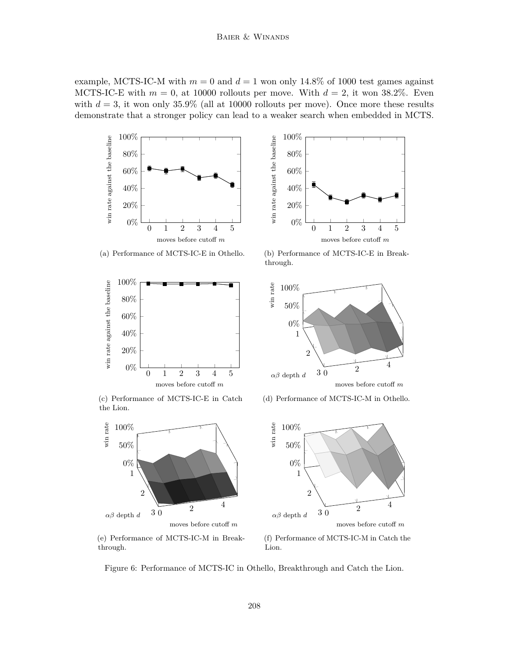example, MCTS-IC-M with  $m = 0$  and  $d = 1$  won only 14.8% of 1000 test games against MCTS-IC-E with  $m = 0$ , at 10000 rollouts per move. With  $d = 2$ , it won 38.2%. Even with  $d = 3$ , it won only 35.9% (all at 10000 rollouts per move). Once more these results demonstrate that a stronger policy can lead to a weaker search when embedded in MCTS.



(a) Performance of MCTS-IC-E in Othello.



(c) Performance of MCTS-IC-E in Catch the Lion.



(e) Performance of MCTS-IC-M in Breakthrough.



0%

20%

40%

win rate against the baseline

win rate against the baseline

60% 80%

100%

0 1 2 3 4 5

moves before cutoff *m*



(d) Performance of MCTS-IC-M in Othello.



(f) Performance of MCTS-IC-M in Catch the Lion.

Figure 6: Performance of MCTS-IC in Othello, Breakthrough and Catch the Lion.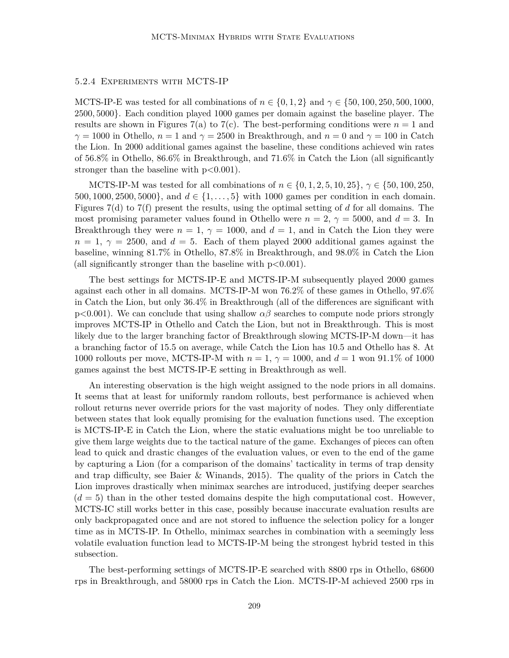### 5.2.4 Experiments with MCTS-IP

MCTS-IP-E was tested for all combinations of  $n \in \{0, 1, 2\}$  and  $\gamma \in \{50, 100, 250, 500, 1000,$ 2500*,* 5000}. Each condition played 1000 games per domain against the baseline player. The results are shown in Figures 7(a) to 7(c). The best-performing conditions were  $n = 1$  and  $\gamma = 1000$  in Othello,  $n = 1$  and  $\gamma = 2500$  in Breakthrough, and  $n = 0$  and  $\gamma = 100$  in Catch the Lion. In 2000 additional games against the baseline, these conditions achieved win rates of 56*.*8% in Othello, 86*.*6% in Breakthrough, and 71*.*6% in Catch the Lion (all significantly stronger than the baseline with p*<*0.001).

MCTS-IP-M was tested for all combinations of  $n \in \{0, 1, 2, 5, 10, 25\}$ ,  $\gamma \in \{50, 100, 250,$ 500*,* 1000*,* 2500*,* 5000}, and *d* ∈ {1*, . . . ,* 5} with 1000 games per condition in each domain. Figures 7(d) to 7(f) present the results, using the optimal setting of *d* for all domains. The most promising parameter values found in Othello were  $n = 2$ ,  $\gamma = 5000$ , and  $d = 3$ . In Breakthrough they were  $n = 1$ ,  $\gamma = 1000$ , and  $d = 1$ , and in Catch the Lion they were  $n = 1, \gamma = 2500$ , and  $d = 5$ . Each of them played 2000 additional games against the baseline, winning 81*.*7% in Othello, 87*.*8% in Breakthrough, and 98*.*0% in Catch the Lion (all significantly stronger than the baseline with p*<*0.001).

The best settings for MCTS-IP-E and MCTS-IP-M subsequently played 2000 games against each other in all domains. MCTS-IP-M won 76*.*2% of these games in Othello, 97*.*6% in Catch the Lion, but only 36*.*4% in Breakthrough (all of the differences are significant with p*<*0.001). We can conclude that using shallow *αβ* searches to compute node priors strongly improves MCTS-IP in Othello and Catch the Lion, but not in Breakthrough. This is most likely due to the larger branching factor of Breakthrough slowing MCTS-IP-M down—it has a branching factor of 15.5 on average, while Catch the Lion has 10.5 and Othello has 8. At 1000 rollouts per move, MCTS-IP-M with *n* = 1, *γ* = 1000, and *d* = 1 won 91*.*1% of 1000 games against the best MCTS-IP-E setting in Breakthrough as well.

An interesting observation is the high weight assigned to the node priors in all domains. It seems that at least for uniformly random rollouts, best performance is achieved when rollout returns never override priors for the vast majority of nodes. They only differentiate between states that look equally promising for the evaluation functions used. The exception is MCTS-IP-E in Catch the Lion, where the static evaluations might be too unreliable to give them large weights due to the tactical nature of the game. Exchanges of pieces can often lead to quick and drastic changes of the evaluation values, or even to the end of the game by capturing a Lion (for a comparison of the domains' tacticality in terms of trap density and trap difficulty, see Baier & Winands, 2015). The quality of the priors in Catch the Lion improves drastically when minimax searches are introduced, justifying deeper searches  $(d = 5)$  than in the other tested domains despite the high computational cost. However, MCTS-IC still works better in this case, possibly because inaccurate evaluation results are only backpropagated once and are not stored to influence the selection policy for a longer time as in MCTS-IP. In Othello, minimax searches in combination with a seemingly less volatile evaluation function lead to MCTS-IP-M being the strongest hybrid tested in this subsection.

The best-performing settings of MCTS-IP-E searched with 8800 rps in Othello, 68600 rps in Breakthrough, and 58000 rps in Catch the Lion. MCTS-IP-M achieved 2500 rps in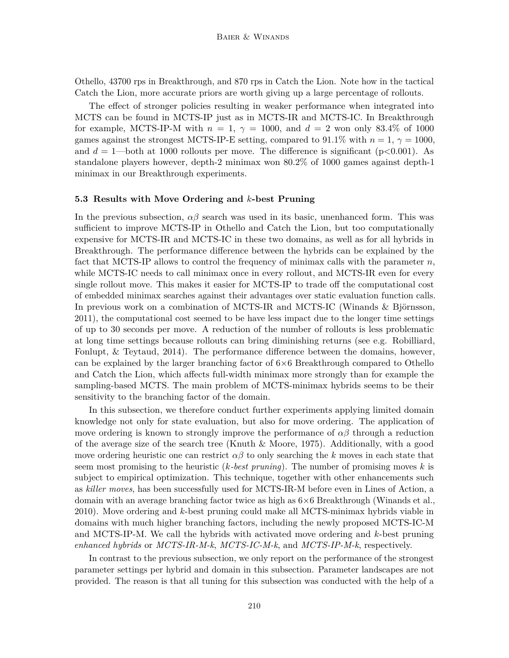Othello, 43700 rps in Breakthrough, and 870 rps in Catch the Lion. Note how in the tactical Catch the Lion, more accurate priors are worth giving up a large percentage of rollouts.

The effect of stronger policies resulting in weaker performance when integrated into MCTS can be found in MCTS-IP just as in MCTS-IR and MCTS-IC. In Breakthrough for example, MCTS-IP-M with  $n = 1$ ,  $\gamma = 1000$ , and  $d = 2$  won only 83.4% of 1000 games against the strongest MCTS-IP-E setting, compared to  $91.1\%$  with  $n = 1, \gamma = 1000$ , and  $d = 1$ —both at 1000 rollouts per move. The difference is significant ( $p < 0.001$ ). As standalone players however, depth-2 minimax won 80*.*2% of 1000 games against depth-1 minimax in our Breakthrough experiments.

#### **5.3 Results with Move Ordering and** *k***-best Pruning**

In the previous subsection,  $\alpha\beta$  search was used in its basic, unenhanced form. This was sufficient to improve MCTS-IP in Othello and Catch the Lion, but too computationally expensive for MCTS-IR and MCTS-IC in these two domains, as well as for all hybrids in Breakthrough. The performance difference between the hybrids can be explained by the fact that MCTS-IP allows to control the frequency of minimax calls with the parameter *n*, while MCTS-IC needs to call minimax once in every rollout, and MCTS-IR even for every single rollout move. This makes it easier for MCTS-IP to trade off the computational cost of embedded minimax searches against their advantages over static evaluation function calls. In previous work on a combination of MCTS-IR and MCTS-IC (Winands & Björnsson, 2011), the computational cost seemed to be have less impact due to the longer time settings of up to 30 seconds per move. A reduction of the number of rollouts is less problematic at long time settings because rollouts can bring diminishing returns (see e.g. Robilliard, Fonlupt, & Teytaud, 2014). The performance difference between the domains, however, can be explained by the larger branching factor of  $6\times6$  Breakthrough compared to Othello and Catch the Lion, which affects full-width minimax more strongly than for example the sampling-based MCTS. The main problem of MCTS-minimax hybrids seems to be their sensitivity to the branching factor of the domain.

In this subsection, we therefore conduct further experiments applying limited domain knowledge not only for state evaluation, but also for move ordering. The application of move ordering is known to strongly improve the performance of  $\alpha\beta$  through a reduction of the average size of the search tree (Knuth & Moore, 1975). Additionally, with a good move ordering heuristic one can restrict  $\alpha\beta$  to only searching the k moves in each state that seem most promising to the heuristic (*k-best pruning*). The number of promising moves *k* is subject to empirical optimization. This technique, together with other enhancements such as *killer moves*, has been successfully used for MCTS-IR-M before even in Lines of Action, a domain with an average branching factor twice as high as  $6\times 6$  Breakthrough (Winands et al., 2010). Move ordering and *k*-best pruning could make all MCTS-minimax hybrids viable in domains with much higher branching factors, including the newly proposed MCTS-IC-M and MCTS-IP-M. We call the hybrids with activated move ordering and *k*-best pruning *enhanced hybrids* or *MCTS-IR-M-k*, *MCTS-IC-M-k*, and *MCTS-IP-M-k*, respectively.

In contrast to the previous subsection, we only report on the performance of the strongest parameter settings per hybrid and domain in this subsection. Parameter landscapes are not provided. The reason is that all tuning for this subsection was conducted with the help of a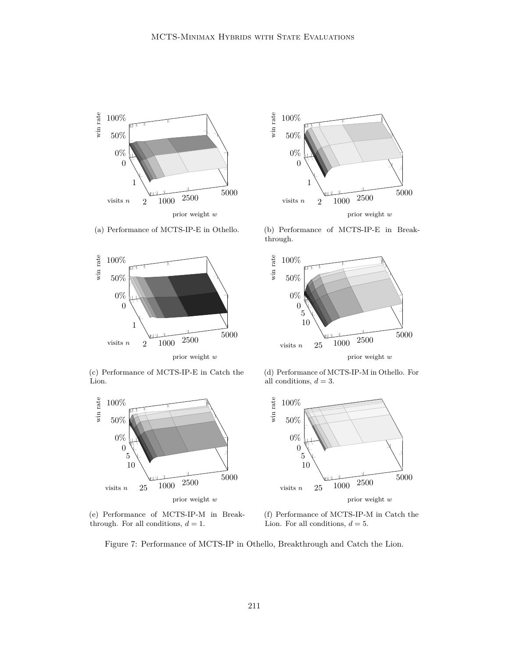

(a) Performance of MCTS-IP-E in Othello.



(c) Performance of MCTS-IP-E in Catch the Lion.



(e) Performance of MCTS-IP-M in Breakthrough. For all conditions,  $d = 1$ .



(b) Performance of MCTS-IP-E in Breakthrough.



(d) Performance of MCTS-IP-M in Othello. For all conditions,  $d = 3$ .



(f) Performance of MCTS-IP-M in Catch the Lion. For all conditions,  $d = 5$ .

Figure 7: Performance of MCTS-IP in Othello, Breakthrough and Catch the Lion.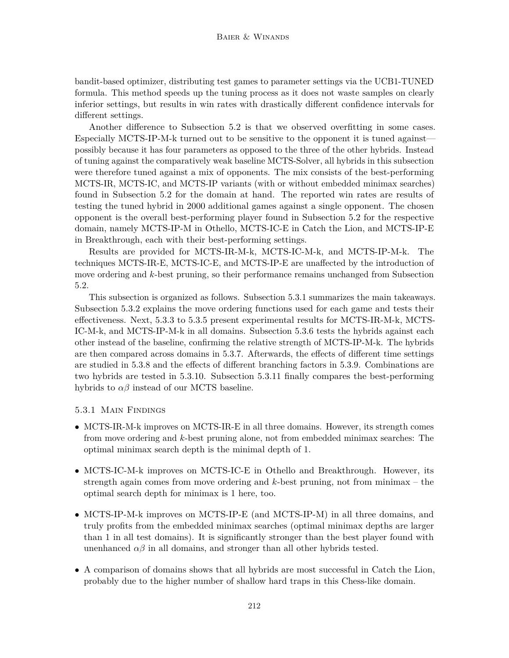bandit-based optimizer, distributing test games to parameter settings via the UCB1-TUNED formula. This method speeds up the tuning process as it does not waste samples on clearly inferior settings, but results in win rates with drastically different confidence intervals for different settings.

Another difference to Subsection 5.2 is that we observed overfitting in some cases. Especially MCTS-IP-M-k turned out to be sensitive to the opponent it is tuned against possibly because it has four parameters as opposed to the three of the other hybrids. Instead of tuning against the comparatively weak baseline MCTS-Solver, all hybrids in this subsection were therefore tuned against a mix of opponents. The mix consists of the best-performing MCTS-IR, MCTS-IC, and MCTS-IP variants (with or without embedded minimax searches) found in Subsection 5.2 for the domain at hand. The reported win rates are results of testing the tuned hybrid in 2000 additional games against a single opponent. The chosen opponent is the overall best-performing player found in Subsection 5.2 for the respective domain, namely MCTS-IP-M in Othello, MCTS-IC-E in Catch the Lion, and MCTS-IP-E in Breakthrough, each with their best-performing settings.

Results are provided for MCTS-IR-M-k, MCTS-IC-M-k, and MCTS-IP-M-k. The techniques MCTS-IR-E, MCTS-IC-E, and MCTS-IP-E are unaffected by the introduction of move ordering and *k*-best pruning, so their performance remains unchanged from Subsection 5.2.

This subsection is organized as follows. Subsection 5.3.1 summarizes the main takeaways. Subsection 5.3.2 explains the move ordering functions used for each game and tests their effectiveness. Next, 5.3.3 to 5.3.5 present experimental results for MCTS-IR-M-k, MCTS-IC-M-k, and MCTS-IP-M-k in all domains. Subsection 5.3.6 tests the hybrids against each other instead of the baseline, confirming the relative strength of MCTS-IP-M-k. The hybrids are then compared across domains in 5.3.7. Afterwards, the effects of different time settings are studied in 5.3.8 and the effects of different branching factors in 5.3.9. Combinations are two hybrids are tested in 5.3.10. Subsection 5.3.11 finally compares the best-performing hybrids to  $\alpha\beta$  instead of our MCTS baseline.

## 5.3.1 Main Findings

- MCTS-IR-M-k improves on MCTS-IR-E in all three domains. However, its strength comes from move ordering and *k*-best pruning alone, not from embedded minimax searches: The optimal minimax search depth is the minimal depth of 1.
- MCTS-IC-M-k improves on MCTS-IC-E in Othello and Breakthrough. However, its strength again comes from move ordering and *k*-best pruning, not from minimax – the optimal search depth for minimax is 1 here, too.
- MCTS-IP-M-k improves on MCTS-IP-E (and MCTS-IP-M) in all three domains, and truly profits from the embedded minimax searches (optimal minimax depths are larger than 1 in all test domains). It is significantly stronger than the best player found with unenhanced  $\alpha\beta$  in all domains, and stronger than all other hybrids tested.
- A comparison of domains shows that all hybrids are most successful in Catch the Lion, probably due to the higher number of shallow hard traps in this Chess-like domain.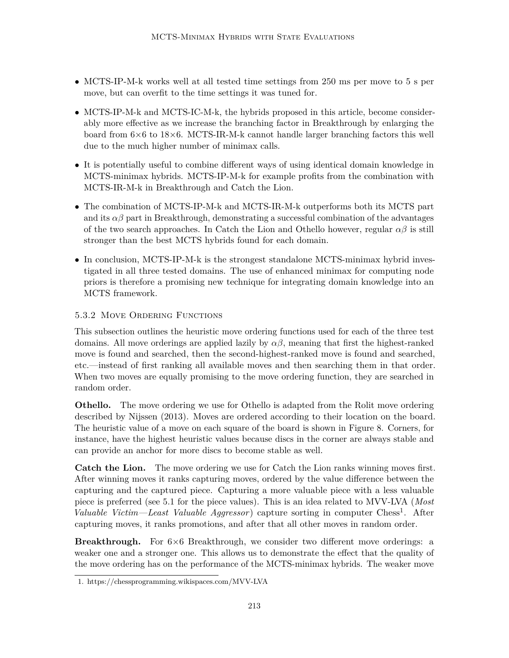- MCTS-IP-M-k works well at all tested time settings from 250 ms per move to 5 s per move, but can overfit to the time settings it was tuned for.
- MCTS-IP-M-k and MCTS-IC-M-k, the hybrids proposed in this article, become considerably more effective as we increase the branching factor in Breakthrough by enlarging the board from  $6\times6$  to  $18\times6$ . MCTS-IR-M-k cannot handle larger branching factors this well due to the much higher number of minimax calls.
- It is potentially useful to combine different ways of using identical domain knowledge in MCTS-minimax hybrids. MCTS-IP-M-k for example profits from the combination with MCTS-IR-M-k in Breakthrough and Catch the Lion.
- The combination of MCTS-IP-M-k and MCTS-IR-M-k outperforms both its MCTS part and its  $\alpha\beta$  part in Breakthrough, demonstrating a successful combination of the advantages of the two search approaches. In Catch the Lion and Othello however, regular *αβ* is still stronger than the best MCTS hybrids found for each domain.
- In conclusion, MCTS-IP-M-k is the strongest standalone MCTS-minimax hybrid investigated in all three tested domains. The use of enhanced minimax for computing node priors is therefore a promising new technique for integrating domain knowledge into an MCTS framework.

# 5.3.2 Move Ordering Functions

This subsection outlines the heuristic move ordering functions used for each of the three test domains. All move orderings are applied lazily by  $\alpha\beta$ , meaning that first the highest-ranked move is found and searched, then the second-highest-ranked move is found and searched, etc.—instead of first ranking all available moves and then searching them in that order. When two moves are equally promising to the move ordering function, they are searched in random order.

**Othello.** The move ordering we use for Othello is adapted from the Rolit move ordering described by Nijssen (2013). Moves are ordered according to their location on the board. The heuristic value of a move on each square of the board is shown in Figure 8. Corners, for instance, have the highest heuristic values because discs in the corner are always stable and can provide an anchor for more discs to become stable as well.

**Catch the Lion.** The move ordering we use for Catch the Lion ranks winning moves first. After winning moves it ranks capturing moves, ordered by the value difference between the capturing and the captured piece. Capturing a more valuable piece with a less valuable piece is preferred (see 5.1 for the piece values). This is an idea related to MVV-LVA (*Most Valuable Victim—Least Valuable Aggressor*) capture sorting in computer Chess<sup>1</sup>. After capturing moves, it ranks promotions, and after that all other moves in random order.

**Breakthrough.** For  $6\times6$  Breakthrough, we consider two different move orderings: a weaker one and a stronger one. This allows us to demonstrate the effect that the quality of the move ordering has on the performance of the MCTS-minimax hybrids. The weaker move

<sup>1.</sup> https://chessprogramming.wikispaces.com/MVV-LVA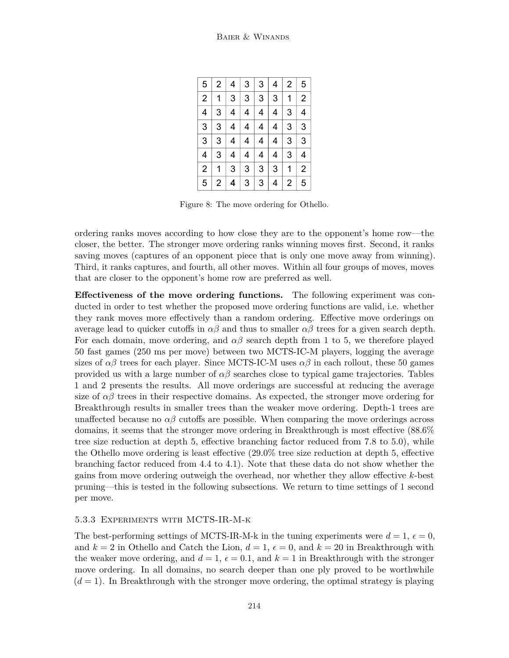| 5                       | 2 | 4 | 3                       | 3 | 4 | $\overline{2}$ | 5              |
|-------------------------|---|---|-------------------------|---|---|----------------|----------------|
| $\overline{2}$          | 1 | 3 | 3                       | 3 | 3 | 1              | $\overline{2}$ |
| $\overline{\mathbf{4}}$ | 3 | 4 | $\overline{\mathbf{4}}$ | 4 | 4 | 3              | 4              |
| 3                       | 3 | 4 | 4                       | 4 | 4 | 3              | 3              |
| 3                       | 3 | 4 | 4                       | 4 | 4 | 3              | 3              |
| $\overline{\mathbf{4}}$ | 3 | 4 | 4                       | 4 | 4 | 3              | 4              |
| $\overline{2}$          | 1 | 3 | 3                       | 3 | 3 | 1              | $\overline{2}$ |
| 5                       | 2 | 4 | 3                       | 3 | 4 | 2              | 5              |

Figure 8: The move ordering for Othello.

ordering ranks moves according to how close they are to the opponent's home row—the closer, the better. The stronger move ordering ranks winning moves first. Second, it ranks saving moves (captures of an opponent piece that is only one move away from winning). Third, it ranks captures, and fourth, all other moves. Within all four groups of moves, moves that are closer to the opponent's home row are preferred as well.

**Effectiveness of the move ordering functions.** The following experiment was conducted in order to test whether the proposed move ordering functions are valid, i.e. whether they rank moves more effectively than a random ordering. Effective move orderings on average lead to quicker cutoffs in  $\alpha\beta$  and thus to smaller  $\alpha\beta$  trees for a given search depth. For each domain, move ordering, and  $\alpha\beta$  search depth from 1 to 5, we therefore played 50 fast games (250 ms per move) between two MCTS-IC-M players, logging the average sizes of  $\alpha\beta$  trees for each player. Since MCTS-IC-M uses  $\alpha\beta$  in each rollout, these 50 games provided us with a large number of  $\alpha\beta$  searches close to typical game trajectories. Tables 1 and 2 presents the results. All move orderings are successful at reducing the average size of  $\alpha\beta$  trees in their respective domains. As expected, the stronger move ordering for Breakthrough results in smaller trees than the weaker move ordering. Depth-1 trees are unaffected because no  $\alpha\beta$  cutoffs are possible. When comparing the move orderings across domains, it seems that the stronger move ordering in Breakthrough is most effective (88.6% tree size reduction at depth 5, effective branching factor reduced from 7.8 to 5.0), while the Othello move ordering is least effective (29.0% tree size reduction at depth 5, effective branching factor reduced from 4.4 to 4.1). Note that these data do not show whether the gains from move ordering outweigh the overhead, nor whether they allow effective *k*-best pruning—this is tested in the following subsections. We return to time settings of 1 second per move.

## 5.3.3 Experiments with MCTS-IR-M-k

The best-performing settings of MCTS-IR-M-k in the tuning experiments were  $d = 1$ ,  $\epsilon = 0$ , and  $k = 2$  in Othello and Catch the Lion,  $d = 1$ ,  $\epsilon = 0$ , and  $k = 20$  in Breakthrough with the weaker move ordering, and  $d = 1$ ,  $\epsilon = 0.1$ , and  $k = 1$  in Breakthrough with the stronger move ordering. In all domains, no search deeper than one ply proved to be worthwhile  $(d = 1)$ . In Breakthrough with the stronger move ordering, the optimal strategy is playing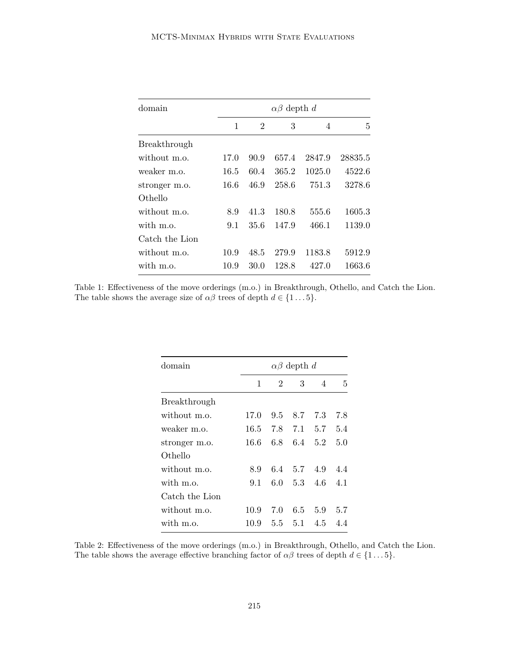| domain         |      | $\alpha\beta$ depth d |       |        |         |  |  |  |  |
|----------------|------|-----------------------|-------|--------|---------|--|--|--|--|
|                | 1    | 2                     | 3     | 4      | 5       |  |  |  |  |
| Breakthrough   |      |                       |       |        |         |  |  |  |  |
| without m.o.   | 17.0 | 90.9                  | 657.4 | 2847.9 | 28835.5 |  |  |  |  |
| weaker m.o.    | 16.5 | 60.4                  | 365.2 | 1025.0 | 4522.6  |  |  |  |  |
| stronger m.o.  | 16.6 | 46.9                  | 258.6 | 751.3  | 3278.6  |  |  |  |  |
| Othello        |      |                       |       |        |         |  |  |  |  |
| without m.o.   | 8.9  | 41.3                  | 180.8 | 555.6  | 1605.3  |  |  |  |  |
| with m.o.      | 9.1  | 35.6                  | 147.9 | 466.1  | 1139.0  |  |  |  |  |
| Catch the Lion |      |                       |       |        |         |  |  |  |  |
| without m.o.   | 10.9 | 48.5                  | 279.9 | 1183.8 | 5912.9  |  |  |  |  |
| with m.o.      | 10.9 | 30.0                  | 128.8 | 427.0  | 1663.6  |  |  |  |  |

Table 1: Effectiveness of the move orderings (m.o.) in Breakthrough, Othello, and Catch the Lion. The table shows the average size of  $\alpha\beta$  trees of depth  $d \in \{1...5\}$ .

| domain         | $\alpha\beta$ depth d |                |             |                |     |  |  |  |
|----------------|-----------------------|----------------|-------------|----------------|-----|--|--|--|
|                | 1                     | $\overline{2}$ | 3           | 4              | 5   |  |  |  |
| Breakthrough   |                       |                |             |                |     |  |  |  |
| without m.o.   | 17.0                  | 9.5            | 8.7         | 7.3            | 7.8 |  |  |  |
| weaker m.o.    | 16.5                  | 7.8            |             | $7.1\quad 5.7$ | 5.4 |  |  |  |
| stronger m.o.  | 16.6                  | 6.8            | 6.4         | 5.2            | 5.0 |  |  |  |
| Othello        |                       |                |             |                |     |  |  |  |
| without m.o.   | 8.9                   |                | 6.4 5.7 4.9 |                | 4.4 |  |  |  |
| with m.o.      | 9.1                   |                |             | 6.0 $5.3$ 4.6  | 4.1 |  |  |  |
| Catch the Lion |                       |                |             |                |     |  |  |  |
| without m.o.   | 10.9                  | 7.0            | 6.5         | 5.9            | 5.7 |  |  |  |
| with m.o.      | 10.9                  | 5.5            | 5.1         | 4.5            | 4.4 |  |  |  |

Table 2: Effectiveness of the move orderings (m.o.) in Breakthrough, Othello, and Catch the Lion. The table shows the average effective branching factor of  $\alpha\beta$  trees of depth  $d \in \{1...5\}$ .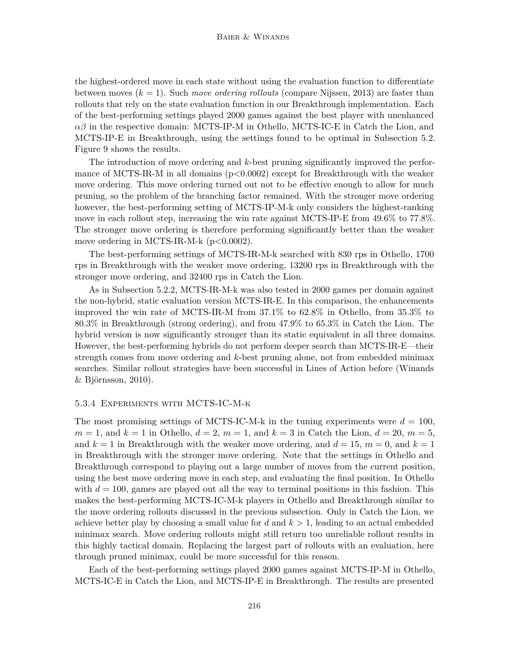the highest-ordered move in each state without using the evaluation function to differentiate between moves (*k* = 1). Such *move ordering rollouts* (compare Nijssen, 2013) are faster than rollouts that rely on the state evaluation function in our Breakthrough implementation. Each of the best-performing settings played 2000 games against the best player with unenhanced *αβ* in the respective domain: MCTS-IP-M in Othello, MCTS-IC-E in Catch the Lion, and MCTS-IP-E in Breakthrough, using the settings found to be optimal in Subsection 5.2. Figure 9 shows the results.

The introduction of move ordering and *k*-best pruning significantly improved the performance of MCTS-IR-M in all domains (p*<*0.0002) except for Breakthrough with the weaker move ordering. This move ordering turned out not to be effective enough to allow for much pruning, so the problem of the branching factor remained. With the stronger move ordering however, the best-performing setting of MCTS-IP-M-k only considers the highest-ranking move in each rollout step, increasing the win rate against MCTS-IP-E from 49*.*6% to 77*.*8%. The stronger move ordering is therefore performing significantly better than the weaker move ordering in MCTS-IR-M-k (p*<*0.0002).

The best-performing settings of MCTS-IR-M-k searched with 830 rps in Othello, 1700 rps in Breakthrough with the weaker move ordering, 13200 rps in Breakthrough with the stronger move ordering, and 32400 rps in Catch the Lion.

As in Subsection 5.2.2, MCTS-IR-M-k was also tested in 2000 games per domain against the non-hybrid, static evaluation version MCTS-IR-E. In this comparison, the enhancements improved the win rate of MCTS-IR-M from 37*.*1% to 62*.*8% in Othello, from 35*.*3% to 80*.*3% in Breakthrough (strong ordering), and from 47*.*9% to 65*.*3% in Catch the Lion. The hybrid version is now significantly stronger than its static equivalent in all three domains. However, the best-performing hybrids do not perform deeper search than MCTS-IR-E—their strength comes from move ordering and *k*-best pruning alone, not from embedded minimax searches. Similar rollout strategies have been successful in Lines of Action before (Winands & Björnsson, 2010).

#### 5.3.4 Experiments with MCTS-IC-M-k

The most promising settings of MCTS-IC-M-k in the tuning experiments were  $d = 100$ ,  $m = 1$ , and  $k = 1$  in Othello,  $d = 2$ ,  $m = 1$ , and  $k = 3$  in Catch the Lion,  $d = 20$ ,  $m = 5$ , and  $k = 1$  in Breakthrough with the weaker move ordering, and  $d = 15$ ,  $m = 0$ , and  $k = 1$ in Breakthrough with the stronger move ordering. Note that the settings in Othello and Breakthrough correspond to playing out a large number of moves from the current position, using the best move ordering move in each step, and evaluating the final position. In Othello with  $d = 100$ , games are played out all the way to terminal positions in this fashion. This makes the best-performing MCTS-IC-M-k players in Othello and Breakthrough similar to the move ordering rollouts discussed in the previous subsection. Only in Catch the Lion, we achieve better play by choosing a small value for  $d$  and  $k > 1$ , leading to an actual embedded minimax search. Move ordering rollouts might still return too unreliable rollout results in this highly tactical domain. Replacing the largest part of rollouts with an evaluation, here through pruned minimax, could be more successful for this reason.

Each of the best-performing settings played 2000 games against MCTS-IP-M in Othello, MCTS-IC-E in Catch the Lion, and MCTS-IP-E in Breakthrough. The results are presented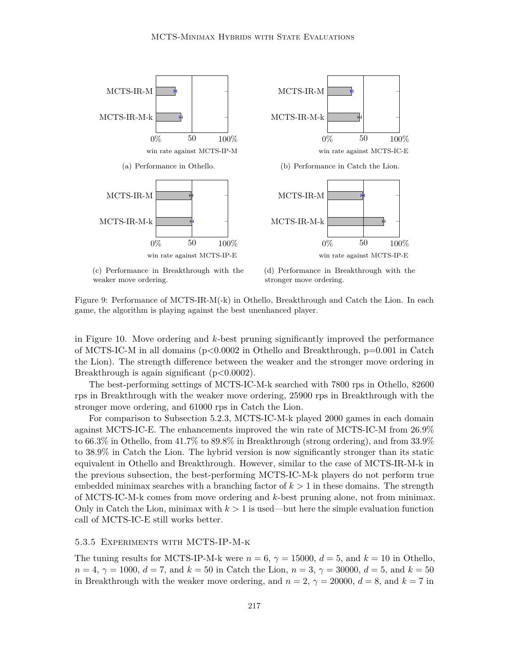

(c) Performance in Breakthrough with the weaker move ordering.



Figure 9: Performance of MCTS-IR-M(-k) in Othello, Breakthrough and Catch the Lion. In each game, the algorithm is playing against the best unenhanced player.

in Figure 10. Move ordering and *k*-best pruning significantly improved the performance of MCTS-IC-M in all domains (p*<*0.0002 in Othello and Breakthrough, p=0.001 in Catch the Lion). The strength difference between the weaker and the stronger move ordering in Breakthrough is again significant (p*<*0.0002).

The best-performing settings of MCTS-IC-M-k searched with 7800 rps in Othello, 82600 rps in Breakthrough with the weaker move ordering, 25900 rps in Breakthrough with the stronger move ordering, and 61000 rps in Catch the Lion.

For comparison to Subsection 5.2.3, MCTS-IC-M-k played 2000 games in each domain against MCTS-IC-E. The enhancements improved the win rate of MCTS-IC-M from 26*.*9% to 66*.*3% in Othello, from 41*.*7% to 89*.*8% in Breakthrough (strong ordering), and from 33*.*9% to 38*.*9% in Catch the Lion. The hybrid version is now significantly stronger than its static equivalent in Othello and Breakthrough. However, similar to the case of MCTS-IR-M-k in the previous subsection, the best-performing MCTS-IC-M-k players do not perform true embedded minimax searches with a branching factor of  $k > 1$  in these domains. The strength of MCTS-IC-M-k comes from move ordering and *k*-best pruning alone, not from minimax. Only in Catch the Lion, minimax with  $k > 1$  is used—but here the simple evaluation function call of MCTS-IC-E still works better.

#### 5.3.5 Experiments with MCTS-IP-M-k

The tuning results for MCTS-IP-M-k were  $n = 6$ ,  $\gamma = 15000$ ,  $d = 5$ , and  $k = 10$  in Othello,  $n = 4, \gamma = 1000, d = 7$ , and  $k = 50$  in Catch the Lion,  $n = 3, \gamma = 30000, d = 5$ , and  $k = 50$ in Breakthrough with the weaker move ordering, and  $n = 2$ ,  $\gamma = 20000$ ,  $d = 8$ , and  $k = 7$  in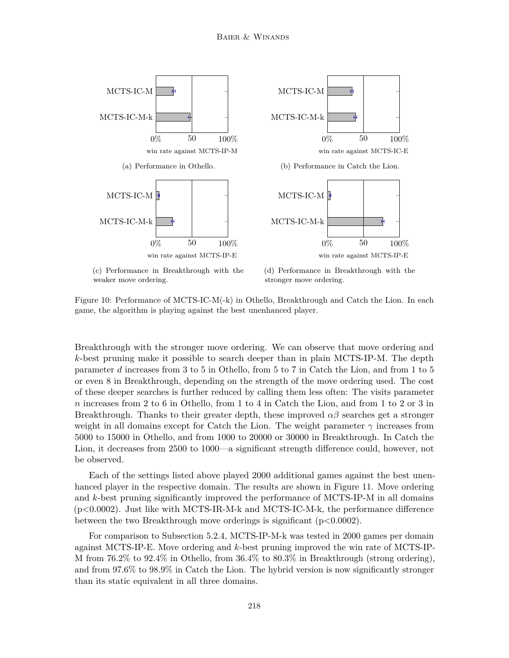

Figure 10: Performance of MCTS-IC-M(-k) in Othello, Breakthrough and Catch the Lion. In each game, the algorithm is playing against the best unenhanced player.

Breakthrough with the stronger move ordering. We can observe that move ordering and *k*-best pruning make it possible to search deeper than in plain MCTS-IP-M. The depth parameter *d* increases from 3 to 5 in Othello, from 5 to 7 in Catch the Lion, and from 1 to 5 or even 8 in Breakthrough, depending on the strength of the move ordering used. The cost of these deeper searches is further reduced by calling them less often: The visits parameter *n* increases from 2 to 6 in Othello, from 1 to 4 in Catch the Lion, and from 1 to 2 or 3 in Breakthrough. Thanks to their greater depth, these improved  $\alpha\beta$  searches get a stronger weight in all domains except for Catch the Lion. The weight parameter *γ* increases from 5000 to 15000 in Othello, and from 1000 to 20000 or 30000 in Breakthrough. In Catch the Lion, it decreases from 2500 to 1000—a significant strength difference could, however, not be observed.

Each of the settings listed above played 2000 additional games against the best unenhanced player in the respective domain. The results are shown in Figure 11. Move ordering and *k*-best pruning significantly improved the performance of MCTS-IP-M in all domains (p*<*0.0002). Just like with MCTS-IR-M-k and MCTS-IC-M-k, the performance difference between the two Breakthrough move orderings is significant (p*<*0.0002).

For comparison to Subsection 5.2.4, MCTS-IP-M-k was tested in 2000 games per domain against MCTS-IP-E. Move ordering and *k*-best pruning improved the win rate of MCTS-IP-M from 76*.*2% to 92*.*4% in Othello, from 36*.*4% to 80*.*3% in Breakthrough (strong ordering), and from 97*.*6% to 98*.*9% in Catch the Lion. The hybrid version is now significantly stronger than its static equivalent in all three domains.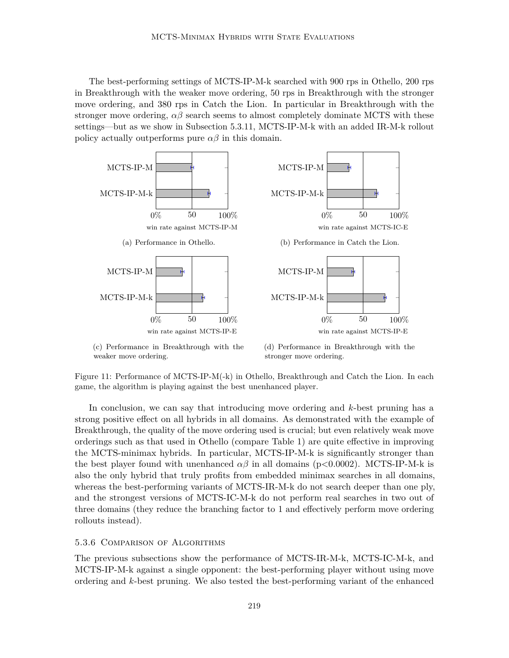The best-performing settings of MCTS-IP-M-k searched with 900 rps in Othello, 200 rps in Breakthrough with the weaker move ordering, 50 rps in Breakthrough with the stronger move ordering, and 380 rps in Catch the Lion. In particular in Breakthrough with the stronger move ordering,  $\alpha\beta$  search seems to almost completely dominate MCTS with these settings—but as we show in Subsection 5.3.11, MCTS-IP-M-k with an added IR-M-k rollout policy actually outperforms pure  $\alpha\beta$  in this domain.



<sup>(</sup>c) Performance in Breakthrough with the weaker move ordering.

Figure 11: Performance of MCTS-IP-M(-k) in Othello, Breakthrough and Catch the Lion. In each game, the algorithm is playing against the best unenhanced player.

In conclusion, we can say that introducing move ordering and *k*-best pruning has a strong positive effect on all hybrids in all domains. As demonstrated with the example of Breakthrough, the quality of the move ordering used is crucial; but even relatively weak move orderings such as that used in Othello (compare Table 1) are quite effective in improving the MCTS-minimax hybrids. In particular, MCTS-IP-M-k is significantly stronger than the best player found with unenhanced  $\alpha\beta$  in all domains (p $<0.0002$ ). MCTS-IP-M-k is also the only hybrid that truly profits from embedded minimax searches in all domains, whereas the best-performing variants of MCTS-IR-M-k do not search deeper than one ply, and the strongest versions of MCTS-IC-M-k do not perform real searches in two out of three domains (they reduce the branching factor to 1 and effectively perform move ordering rollouts instead).

#### 5.3.6 Comparison of Algorithms

The previous subsections show the performance of MCTS-IR-M-k, MCTS-IC-M-k, and MCTS-IP-M-k against a single opponent: the best-performing player without using move ordering and *k*-best pruning. We also tested the best-performing variant of the enhanced

<sup>(</sup>d) Performance in Breakthrough with the stronger move ordering.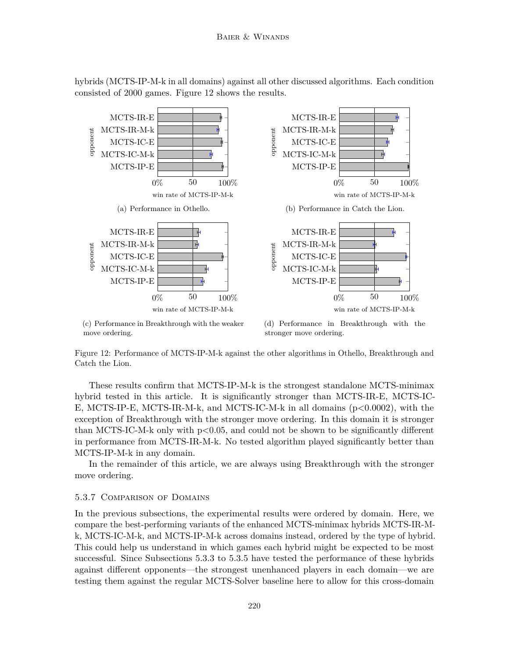hybrids (MCTS-IP-M-k in all domains) against all other discussed algorithms. Each condition consisted of 2000 games. Figure 12 shows the results.



Figure 12: Performance of MCTS-IP-M-k against the other algorithms in Othello, Breakthrough and Catch the Lion.

These results confirm that MCTS-IP-M-k is the strongest standalone MCTS-minimax hybrid tested in this article. It is significantly stronger than MCTS-IR-E, MCTS-IC-E, MCTS-IP-E, MCTS-IR-M-k, and MCTS-IC-M-k in all domains (p*<*0.0002), with the exception of Breakthrough with the stronger move ordering. In this domain it is stronger than MCTS-IC-M-k only with p*<*0.05, and could not be shown to be significantly different in performance from MCTS-IR-M-k. No tested algorithm played significantly better than MCTS-IP-M-k in any domain.

In the remainder of this article, we are always using Breakthrough with the stronger move ordering.

#### 5.3.7 Comparison of Domains

In the previous subsections, the experimental results were ordered by domain. Here, we compare the best-performing variants of the enhanced MCTS-minimax hybrids MCTS-IR-Mk, MCTS-IC-M-k, and MCTS-IP-M-k across domains instead, ordered by the type of hybrid. This could help us understand in which games each hybrid might be expected to be most successful. Since Subsections 5.3.3 to 5.3.5 have tested the performance of these hybrids against different opponents—the strongest unenhanced players in each domain—we are testing them against the regular MCTS-Solver baseline here to allow for this cross-domain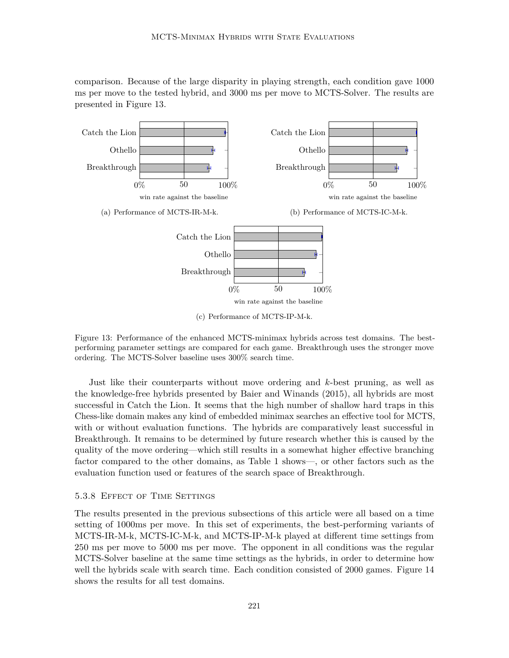comparison. Because of the large disparity in playing strength, each condition gave 1000 ms per move to the tested hybrid, and 3000 ms per move to MCTS-Solver. The results are presented in Figure 13.



(c) Performance of MCTS-IP-M-k.

Figure 13: Performance of the enhanced MCTS-minimax hybrids across test domains. The bestperforming parameter settings are compared for each game. Breakthrough uses the stronger move ordering. The MCTS-Solver baseline uses 300% search time.

Just like their counterparts without move ordering and *k*-best pruning, as well as the knowledge-free hybrids presented by Baier and Winands (2015), all hybrids are most successful in Catch the Lion. It seems that the high number of shallow hard traps in this Chess-like domain makes any kind of embedded minimax searches an effective tool for MCTS, with or without evaluation functions. The hybrids are comparatively least successful in Breakthrough. It remains to be determined by future research whether this is caused by the quality of the move ordering—which still results in a somewhat higher effective branching factor compared to the other domains, as Table 1 shows—, or other factors such as the evaluation function used or features of the search space of Breakthrough.

# 5.3.8 Effect of Time Settings

The results presented in the previous subsections of this article were all based on a time setting of 1000ms per move. In this set of experiments, the best-performing variants of MCTS-IR-M-k, MCTS-IC-M-k, and MCTS-IP-M-k played at different time settings from 250 ms per move to 5000 ms per move. The opponent in all conditions was the regular MCTS-Solver baseline at the same time settings as the hybrids, in order to determine how well the hybrids scale with search time. Each condition consisted of 2000 games. Figure 14 shows the results for all test domains.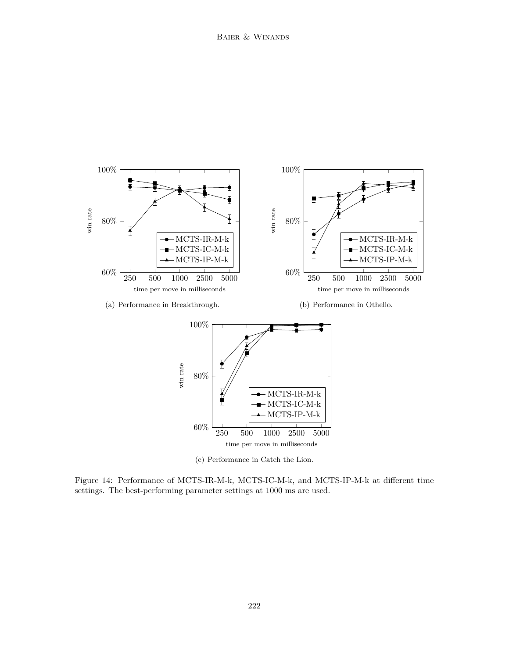

(c) Performance in Catch the Lion.

Figure 14: Performance of MCTS-IR-M-k, MCTS-IC-M-k, and MCTS-IP-M-k at different time settings. The best-performing parameter settings at 1000 ms are used.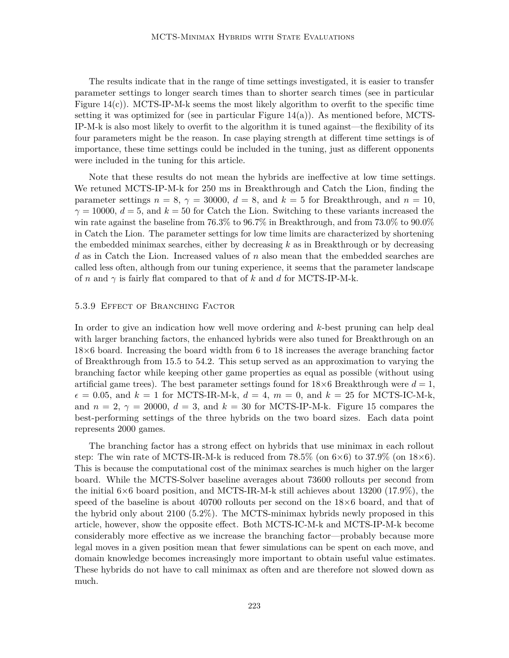The results indicate that in the range of time settings investigated, it is easier to transfer parameter settings to longer search times than to shorter search times (see in particular Figure  $14(c)$ ). MCTS-IP-M-k seems the most likely algorithm to overfit to the specific time setting it was optimized for (see in particular Figure  $14(a)$ ). As mentioned before, MCTS-IP-M-k is also most likely to overfit to the algorithm it is tuned against—the flexibility of its four parameters might be the reason. In case playing strength at different time settings is of importance, these time settings could be included in the tuning, just as different opponents were included in the tuning for this article.

Note that these results do not mean the hybrids are ineffective at low time settings. We retuned MCTS-IP-M-k for 250 ms in Breakthrough and Catch the Lion, finding the parameter settings  $n = 8$ ,  $\gamma = 30000$ ,  $d = 8$ , and  $k = 5$  for Breakthrough, and  $n = 10$ ,  $\gamma = 10000, d = 5$ , and  $k = 50$  for Catch the Lion. Switching to these variants increased the win rate against the baseline from 76*.*3% to 96*.*7% in Breakthrough, and from 73*.*0% to 90*.*0% in Catch the Lion. The parameter settings for low time limits are characterized by shortening the embedded minimax searches, either by decreasing *k* as in Breakthrough or by decreasing *d* as in Catch the Lion. Increased values of *n* also mean that the embedded searches are called less often, although from our tuning experience, it seems that the parameter landscape of *n* and *γ* is fairly flat compared to that of *k* and *d* for MCTS-IP-M-k.

#### 5.3.9 Effect of Branching Factor

In order to give an indication how well move ordering and *k*-best pruning can help deal with larger branching factors, the enhanced hybrids were also tuned for Breakthrough on an 18×6 board. Increasing the board width from 6 to 18 increases the average branching factor of Breakthrough from 15.5 to 54.2. This setup served as an approximation to varying the branching factor while keeping other game properties as equal as possible (without using artificial game trees). The best parameter settings found for  $18\times6$  Breakthrough were  $d=1$ ,  $\epsilon = 0.05$ , and  $k = 1$  for MCTS-IR-M-k,  $d = 4$ ,  $m = 0$ , and  $k = 25$  for MCTS-IC-M-k, and  $n = 2$ ,  $\gamma = 20000$ ,  $d = 3$ , and  $k = 30$  for MCTS-IP-M-k. Figure 15 compares the best-performing settings of the three hybrids on the two board sizes. Each data point represents 2000 games.

The branching factor has a strong effect on hybrids that use minimax in each rollout step: The win rate of MCTS-IR-M-k is reduced from  $78.5\%$  (on  $6\times6$ ) to  $37.9\%$  (on  $18\times6$ ). This is because the computational cost of the minimax searches is much higher on the larger board. While the MCTS-Solver baseline averages about 73600 rollouts per second from the initial  $6\times6$  board position, and MCTS-IR-M-k still achieves about 13200 (17.9%), the speed of the baseline is about 40700 rollouts per second on the  $18\times6$  board, and that of the hybrid only about 2100 (5.2%). The MCTS-minimax hybrids newly proposed in this article, however, show the opposite effect. Both MCTS-IC-M-k and MCTS-IP-M-k become considerably more effective as we increase the branching factor—probably because more legal moves in a given position mean that fewer simulations can be spent on each move, and domain knowledge becomes increasingly more important to obtain useful value estimates. These hybrids do not have to call minimax as often and are therefore not slowed down as much.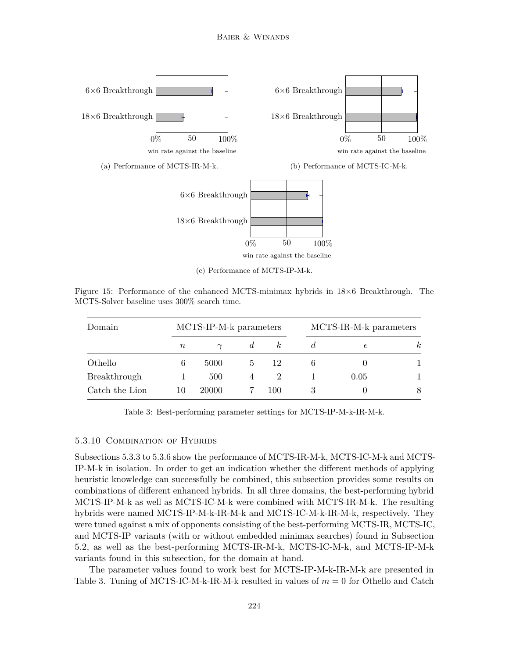

(c) Performance of MCTS-IP-M-k.

Figure 15: Performance of the enhanced MCTS-minimax hybrids in 18×6 Breakthrough. The MCTS-Solver baseline uses 300% search time.

| Domain         |           | MCTS-IP-M-k parameters |                | MCTS-IR-M-k parameters |            |          |
|----------------|-----------|------------------------|----------------|------------------------|------------|----------|
|                | $n_{\rm}$ |                        | $\mathfrak{a}$ |                        | $\epsilon$ | $\kappa$ |
| Othello        |           | 5000                   |                | 12                     |            |          |
| Breakthrough   |           | 500                    | 4              | 2                      | 0.05       |          |
| Catch the Lion | 10        | 20000                  |                | 100                    |            | 8        |

Table 3: Best-performing parameter settings for MCTS-IP-M-k-IR-M-k.

#### 5.3.10 Combination of Hybrids

Subsections 5.3.3 to 5.3.6 show the performance of MCTS-IR-M-k, MCTS-IC-M-k and MCTS-IP-M-k in isolation. In order to get an indication whether the different methods of applying heuristic knowledge can successfully be combined, this subsection provides some results on combinations of different enhanced hybrids. In all three domains, the best-performing hybrid MCTS-IP-M-k as well as MCTS-IC-M-k were combined with MCTS-IR-M-k. The resulting hybrids were named MCTS-IP-M-k-IR-M-k and MCTS-IC-M-k-IR-M-k, respectively. They were tuned against a mix of opponents consisting of the best-performing MCTS-IR, MCTS-IC, and MCTS-IP variants (with or without embedded minimax searches) found in Subsection 5.2, as well as the best-performing MCTS-IR-M-k, MCTS-IC-M-k, and MCTS-IP-M-k variants found in this subsection, for the domain at hand.

The parameter values found to work best for MCTS-IP-M-k-IR-M-k are presented in Table 3. Tuning of MCTS-IC-M-k-IR-M-k resulted in values of *m* = 0 for Othello and Catch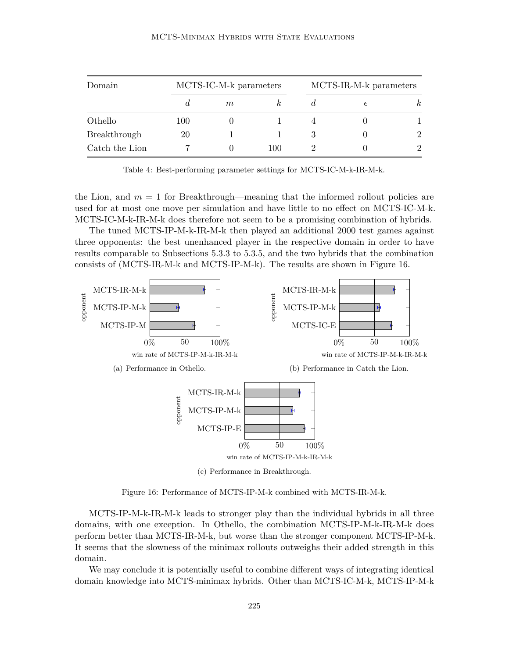|--|

| Domain         |     | MCTS-IC-M-k parameters |     |   | MCTS-IR-M-k parameters |                             |  |  |
|----------------|-----|------------------------|-----|---|------------------------|-----------------------------|--|--|
|                | đ.  | $m\,$                  |     |   | €                      | $\kappa$                    |  |  |
| Othello        | 100 |                        |     |   |                        |                             |  |  |
| Breakthrough   | 20  |                        |     | 3 |                        | 2                           |  |  |
| Catch the Lion |     |                        | 100 |   |                        | $\mathcal{D}_{\mathcal{L}}$ |  |  |

Table 4: Best-performing parameter settings for MCTS-IC-M-k-IR-M-k.

the Lion, and  $m = 1$  for Breakthrough—meaning that the informed rollout policies are used for at most one move per simulation and have little to no effect on MCTS-IC-M-k. MCTS-IC-M-k-IR-M-k does therefore not seem to be a promising combination of hybrids.

The tuned MCTS-IP-M-k-IR-M-k then played an additional 2000 test games against three opponents: the best unenhanced player in the respective domain in order to have results comparable to Subsections 5.3.3 to 5.3.5, and the two hybrids that the combination consists of (MCTS-IR-M-k and MCTS-IP-M-k). The results are shown in Figure 16.



Figure 16: Performance of MCTS-IP-M-k combined with MCTS-IR-M-k.

MCTS-IP-M-k-IR-M-k leads to stronger play than the individual hybrids in all three domains, with one exception. In Othello, the combination MCTS-IP-M-k-IR-M-k does perform better than MCTS-IR-M-k, but worse than the stronger component MCTS-IP-M-k. It seems that the slowness of the minimax rollouts outweighs their added strength in this domain.

We may conclude it is potentially useful to combine different ways of integrating identical domain knowledge into MCTS-minimax hybrids. Other than MCTS-IC-M-k, MCTS-IP-M-k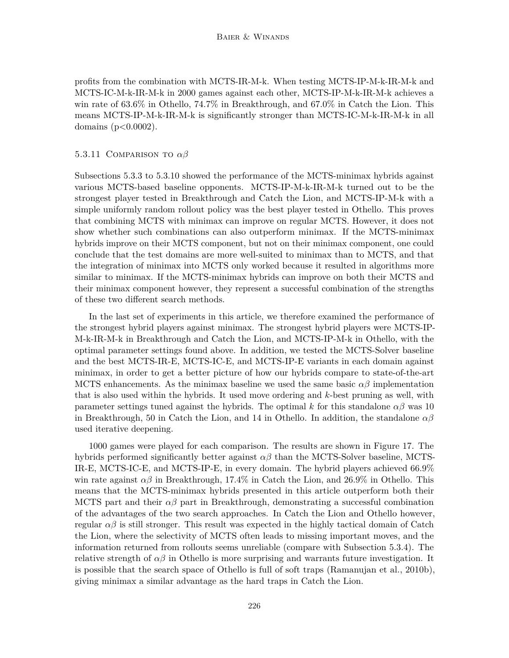profits from the combination with MCTS-IR-M-k. When testing MCTS-IP-M-k-IR-M-k and MCTS-IC-M-k-IR-M-k in 2000 games against each other, MCTS-IP-M-k-IR-M-k achieves a win rate of 63.6% in Othello, 74.7% in Breakthrough, and 67.0% in Catch the Lion. This means MCTS-IP-M-k-IR-M-k is significantly stronger than MCTS-IC-M-k-IR-M-k in all domains (p*<*0.0002).

#### 5.3.11 Comparison to *αβ*

Subsections 5.3.3 to 5.3.10 showed the performance of the MCTS-minimax hybrids against various MCTS-based baseline opponents. MCTS-IP-M-k-IR-M-k turned out to be the strongest player tested in Breakthrough and Catch the Lion, and MCTS-IP-M-k with a simple uniformly random rollout policy was the best player tested in Othello. This proves that combining MCTS with minimax can improve on regular MCTS. However, it does not show whether such combinations can also outperform minimax. If the MCTS-minimax hybrids improve on their MCTS component, but not on their minimax component, one could conclude that the test domains are more well-suited to minimax than to MCTS, and that the integration of minimax into MCTS only worked because it resulted in algorithms more similar to minimax. If the MCTS-minimax hybrids can improve on both their MCTS and their minimax component however, they represent a successful combination of the strengths of these two different search methods.

In the last set of experiments in this article, we therefore examined the performance of the strongest hybrid players against minimax. The strongest hybrid players were MCTS-IP-M-k-IR-M-k in Breakthrough and Catch the Lion, and MCTS-IP-M-k in Othello, with the optimal parameter settings found above. In addition, we tested the MCTS-Solver baseline and the best MCTS-IR-E, MCTS-IC-E, and MCTS-IP-E variants in each domain against minimax, in order to get a better picture of how our hybrids compare to state-of-the-art MCTS enhancements. As the minimax baseline we used the same basic  $\alpha\beta$  implementation that is also used within the hybrids. It used move ordering and *k*-best pruning as well, with parameter settings tuned against the hybrids. The optimal *k* for this standalone  $\alpha\beta$  was 10 in Breakthrough, 50 in Catch the Lion, and 14 in Othello. In addition, the standalone *αβ* used iterative deepening.

1000 games were played for each comparison. The results are shown in Figure 17. The hybrids performed significantly better against *αβ* than the MCTS-Solver baseline, MCTS-IR-E, MCTS-IC-E, and MCTS-IP-E, in every domain. The hybrid players achieved 66.9% win rate against *αβ* in Breakthrough, 17.4% in Catch the Lion, and 26.9% in Othello. This means that the MCTS-minimax hybrids presented in this article outperform both their MCTS part and their  $\alpha\beta$  part in Breakthrough, demonstrating a successful combination of the advantages of the two search approaches. In Catch the Lion and Othello however, regular  $\alpha\beta$  is still stronger. This result was expected in the highly tactical domain of Catch the Lion, where the selectivity of MCTS often leads to missing important moves, and the information returned from rollouts seems unreliable (compare with Subsection 5.3.4). The relative strength of  $\alpha\beta$  in Othello is more surprising and warrants future investigation. It is possible that the search space of Othello is full of soft traps (Ramanujan et al., 2010b), giving minimax a similar advantage as the hard traps in Catch the Lion.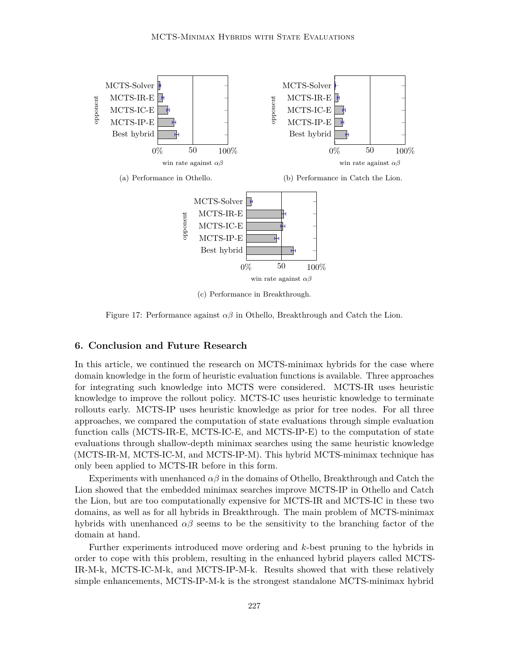

(c) Performance in Breakthrough.

Figure 17: Performance against  $\alpha\beta$  in Othello, Breakthrough and Catch the Lion.

## **6. Conclusion and Future Research**

In this article, we continued the research on MCTS-minimax hybrids for the case where domain knowledge in the form of heuristic evaluation functions is available. Three approaches for integrating such knowledge into MCTS were considered. MCTS-IR uses heuristic knowledge to improve the rollout policy. MCTS-IC uses heuristic knowledge to terminate rollouts early. MCTS-IP uses heuristic knowledge as prior for tree nodes. For all three approaches, we compared the computation of state evaluations through simple evaluation function calls (MCTS-IR-E, MCTS-IC-E, and MCTS-IP-E) to the computation of state evaluations through shallow-depth minimax searches using the same heuristic knowledge (MCTS-IR-M, MCTS-IC-M, and MCTS-IP-M). This hybrid MCTS-minimax technique has only been applied to MCTS-IR before in this form.

Experiments with unenhanced  $\alpha\beta$  in the domains of Othello, Breakthrough and Catch the Lion showed that the embedded minimax searches improve MCTS-IP in Othello and Catch the Lion, but are too computationally expensive for MCTS-IR and MCTS-IC in these two domains, as well as for all hybrids in Breakthrough. The main problem of MCTS-minimax hybrids with unenhanced  $\alpha\beta$  seems to be the sensitivity to the branching factor of the domain at hand.

Further experiments introduced move ordering and *k*-best pruning to the hybrids in order to cope with this problem, resulting in the enhanced hybrid players called MCTS-IR-M-k, MCTS-IC-M-k, and MCTS-IP-M-k. Results showed that with these relatively simple enhancements, MCTS-IP-M-k is the strongest standalone MCTS-minimax hybrid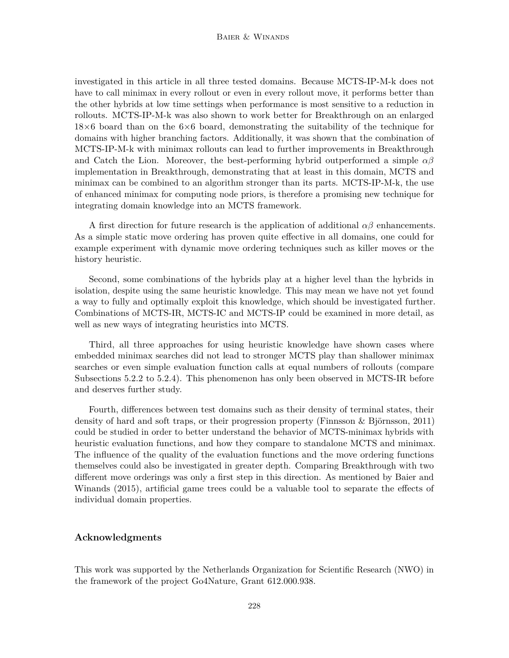investigated in this article in all three tested domains. Because MCTS-IP-M-k does not have to call minimax in every rollout or even in every rollout move, it performs better than the other hybrids at low time settings when performance is most sensitive to a reduction in rollouts. MCTS-IP-M-k was also shown to work better for Breakthrough on an enlarged  $18\times6$  board than on the  $6\times6$  board, demonstrating the suitability of the technique for domains with higher branching factors. Additionally, it was shown that the combination of MCTS-IP-M-k with minimax rollouts can lead to further improvements in Breakthrough and Catch the Lion. Moreover, the best-performing hybrid outperformed a simple *αβ* implementation in Breakthrough, demonstrating that at least in this domain, MCTS and minimax can be combined to an algorithm stronger than its parts. MCTS-IP-M-k, the use of enhanced minimax for computing node priors, is therefore a promising new technique for integrating domain knowledge into an MCTS framework.

A first direction for future research is the application of additional  $\alpha\beta$  enhancements. As a simple static move ordering has proven quite effective in all domains, one could for example experiment with dynamic move ordering techniques such as killer moves or the history heuristic.

Second, some combinations of the hybrids play at a higher level than the hybrids in isolation, despite using the same heuristic knowledge. This may mean we have not yet found a way to fully and optimally exploit this knowledge, which should be investigated further. Combinations of MCTS-IR, MCTS-IC and MCTS-IP could be examined in more detail, as well as new ways of integrating heuristics into MCTS.

Third, all three approaches for using heuristic knowledge have shown cases where embedded minimax searches did not lead to stronger MCTS play than shallower minimax searches or even simple evaluation function calls at equal numbers of rollouts (compare Subsections 5.2.2 to 5.2.4). This phenomenon has only been observed in MCTS-IR before and deserves further study.

Fourth, differences between test domains such as their density of terminal states, their density of hard and soft traps, or their progression property (Finnsson & Björnsson, 2011) could be studied in order to better understand the behavior of MCTS-minimax hybrids with heuristic evaluation functions, and how they compare to standalone MCTS and minimax. The influence of the quality of the evaluation functions and the move ordering functions themselves could also be investigated in greater depth. Comparing Breakthrough with two different move orderings was only a first step in this direction. As mentioned by Baier and Winands (2015), artificial game trees could be a valuable tool to separate the effects of individual domain properties.

## **Acknowledgments**

This work was supported by the Netherlands Organization for Scientific Research (NWO) in the framework of the project Go4Nature, Grant 612.000.938.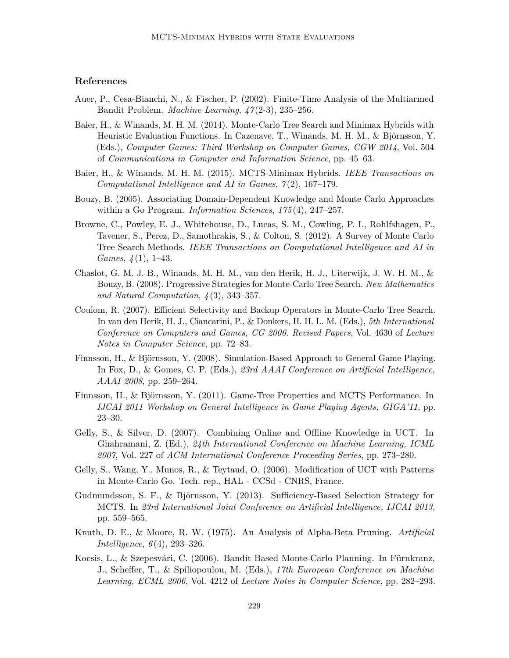# **References**

- Auer, P., Cesa-Bianchi, N., & Fischer, P. (2002). Finite-Time Analysis of the Multiarmed Bandit Problem. *Machine Learning*, *47* (2-3), 235–256.
- Baier, H., & Winands, M. H. M. (2014). Monte-Carlo Tree Search and Minimax Hybrids with Heuristic Evaluation Functions. In Cazenave, T., Winands, M. H. M., & Björnsson, Y. (Eds.), *Computer Games: Third Workshop on Computer Games, CGW 2014*, Vol. 504 of *Communications in Computer and Information Science*, pp. 45–63.
- Baier, H., & Winands, M. H. M. (2015). MCTS-Minimax Hybrids. *IEEE Transactions on Computational Intelligence and AI in Games*, *7* (2), 167–179.
- Bouzy, B. (2005). Associating Domain-Dependent Knowledge and Monte Carlo Approaches within a Go Program. *Information Sciences*, *175* (4), 247–257.
- Browne, C., Powley, E. J., Whitehouse, D., Lucas, S. M., Cowling, P. I., Rohlfshagen, P., Tavener, S., Perez, D., Samothrakis, S., & Colton, S. (2012). A Survey of Monte Carlo Tree Search Methods. *IEEE Transactions on Computational Intelligence and AI in Games*, *4* (1), 1–43.
- Chaslot, G. M. J.-B., Winands, M. H. M., van den Herik, H. J., Uiterwijk, J. W. H. M., & Bouzy, B. (2008). Progressive Strategies for Monte-Carlo Tree Search. *New Mathematics and Natural Computation*, *4* (3), 343–357.
- Coulom, R. (2007). Efficient Selectivity and Backup Operators in Monte-Carlo Tree Search. In van den Herik, H. J., Ciancarini, P., & Donkers, H. H. L. M. (Eds.), *5th International Conference on Computers and Games, CG 2006. Revised Papers*, Vol. 4630 of *Lecture Notes in Computer Science*, pp. 72–83.
- Finnsson, H., & Björnsson, Y. (2008). Simulation-Based Approach to General Game Playing. In Fox, D., & Gomes, C. P. (Eds.), *23rd AAAI Conference on Artificial Intelligence, AAAI 2008*, pp. 259–264.
- Finnsson, H., & Björnsson, Y. (2011). Game-Tree Properties and MCTS Performance. In *IJCAI 2011 Workshop on General Intelligence in Game Playing Agents, GIGA'11*, pp. 23–30.
- Gelly, S., & Silver, D. (2007). Combining Online and Offline Knowledge in UCT. In Ghahramani, Z. (Ed.), *24th International Conference on Machine Learning, ICML 2007*, Vol. 227 of *ACM International Conference Proceeding Series*, pp. 273–280.
- Gelly, S., Wang, Y., Munos, R., & Teytaud, O. (2006). Modification of UCT with Patterns in Monte-Carlo Go. Tech. rep., HAL - CCSd - CNRS, France.
- Gudmundsson, S. F., & Björnsson, Y. (2013). Sufficiency-Based Selection Strategy for MCTS. In *23rd International Joint Conference on Artificial Intelligence, IJCAI 2013*, pp. 559–565.
- Knuth, D. E., & Moore, R. W. (1975). An Analysis of Alpha-Beta Pruning. *Artificial Intelligence*, *6* (4), 293–326.
- Kocsis, L., & Szepesvári, C. (2006). Bandit Based Monte-Carlo Planning. In Fürnkranz, J., Scheffer, T., & Spiliopoulou, M. (Eds.), *17th European Conference on Machine Learning, ECML 2006*, Vol. 4212 of *Lecture Notes in Computer Science*, pp. 282–293.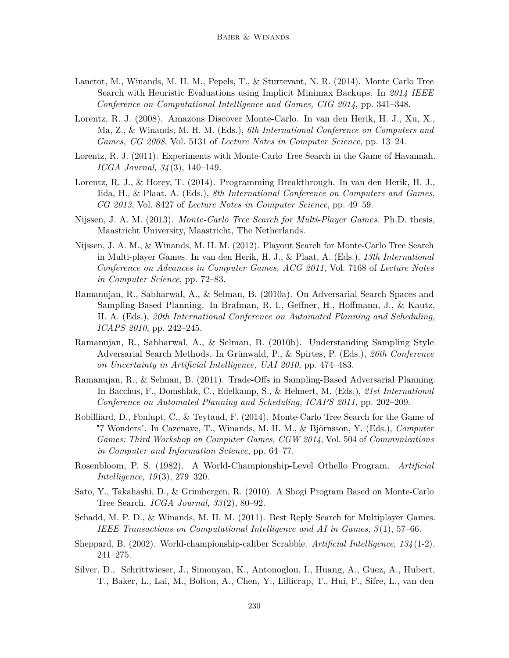- Lanctot, M., Winands, M. H. M., Pepels, T., & Sturtevant, N. R. (2014). Monte Carlo Tree Search with Heuristic Evaluations using Implicit Minimax Backups. In *2014 IEEE Conference on Computational Intelligence and Games, CIG 2014*, pp. 341–348.
- Lorentz, R. J. (2008). Amazons Discover Monte-Carlo. In van den Herik, H. J., Xu, X., Ma, Z., & Winands, M. H. M. (Eds.), *6th International Conference on Computers and Games, CG 2008*, Vol. 5131 of *Lecture Notes in Computer Science*, pp. 13–24.
- Lorentz, R. J. (2011). Experiments with Monte-Carlo Tree Search in the Game of Havannah. *ICGA Journal*, *34* (3), 140–149.
- Lorentz, R. J., & Horey, T. (2014). Programming Breakthrough. In van den Herik, H. J., Iida, H., & Plaat, A. (Eds.), *8th International Conference on Computers and Games, CG 2013*, Vol. 8427 of *Lecture Notes in Computer Science*, pp. 49–59.
- Nijssen, J. A. M. (2013). *Monte-Carlo Tree Search for Multi-Player Games*. Ph.D. thesis, Maastricht University, Maastricht, The Netherlands.
- Nijssen, J. A. M., & Winands, M. H. M. (2012). Playout Search for Monte-Carlo Tree Search in Multi-player Games. In van den Herik, H. J., & Plaat, A. (Eds.), *13th International Conference on Advances in Computer Games, ACG 2011*, Vol. 7168 of *Lecture Notes in Computer Science*, pp. 72–83.
- Ramanujan, R., Sabharwal, A., & Selman, B. (2010a). On Adversarial Search Spaces and Sampling-Based Planning. In Brafman, R. I., Geffner, H., Hoffmann, J., & Kautz, H. A. (Eds.), *20th International Conference on Automated Planning and Scheduling, ICAPS 2010*, pp. 242–245.
- Ramanujan, R., Sabharwal, A., & Selman, B. (2010b). Understanding Sampling Style Adversarial Search Methods. In Grünwald, P., & Spirtes, P. (Eds.), *26th Conference on Uncertainty in Artificial Intelligence, UAI 2010*, pp. 474–483.
- Ramanujan, R., & Selman, B. (2011). Trade-Offs in Sampling-Based Adversarial Planning. In Bacchus, F., Domshlak, C., Edelkamp, S., & Helmert, M. (Eds.), *21st International Conference on Automated Planning and Scheduling, ICAPS 2011*, pp. 202–209.
- Robilliard, D., Fonlupt, C., & Teytaud, F. (2014). Monte-Carlo Tree Search for the Game of "7 Wonders". In Cazenave, T., Winands, M. H. M., & Björnsson, Y. (Eds.), *Computer Games: Third Workshop on Computer Games, CGW 2014*, Vol. 504 of *Communications in Computer and Information Science*, pp. 64–77.
- Rosenbloom, P. S. (1982). A World-Championship-Level Othello Program. *Artificial Intelligence*, *19* (3), 279–320.
- Sato, Y., Takahashi, D., & Grimbergen, R. (2010). A Shogi Program Based on Monte-Carlo Tree Search. *ICGA Journal*, *33* (2), 80–92.
- Schadd, M. P. D., & Winands, M. H. M. (2011). Best Reply Search for Multiplayer Games. *IEEE Transactions on Computational Intelligence and AI in Games*, *3* (1), 57–66.
- Sheppard, B. (2002). World-championship-caliber Scrabble. *Artificial Intelligence*, *134* (1-2), 241–275.
- Silver, D., Schrittwieser, J., Simonyan, K., Antonoglou, I., Huang, A., Guez, A., Hubert, T., Baker, L., Lai, M., Bolton, A., Chen, Y., Lillicrap, T., Hui, F., Sifre, L., van den